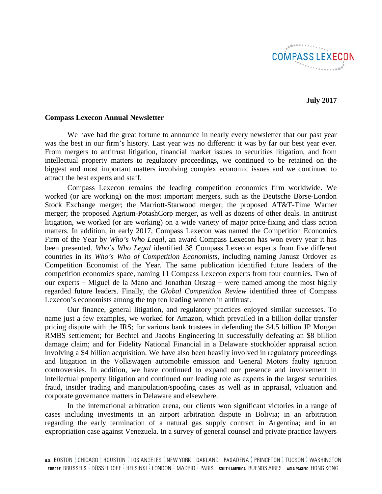**COMPASS LEXECON** 

**July 2017**

### **Compass Lexecon Annual Newsletter**

We have had the great fortune to announce in nearly every newsletter that our past year was the best in our firm's history. Last year was no different: it was by far our best year ever. From mergers to antitrust litigation, financial market issues to securities litigation, and from intellectual property matters to regulatory proceedings, we continued to be retained on the biggest and most important matters involving complex economic issues and we continued to attract the best experts and staff.

Compass Lexecon remains the leading competition economics firm worldwide. We worked (or are working) on the most important mergers, such as the Deutsche Börse-London Stock Exchange merger; the Marriott-Starwood merger; the proposed AT&T-Time Warner merger; the proposed Agrium-PotashCorp merger, as well as dozens of other deals. In antitrust litigation, we worked (or are working) on a wide variety of major price-fixing and class action matters. In addition, in early 2017, Compass Lexecon was named the Competition Economics Firm of the Year by *Who's Who Legal*, an award Compass Lexecon has won every year it has been presented. *Who's Who Legal* identified 38 Compass Lexecon experts from five different countries in its *Who's Who of Competition Economists*, including naming Janusz Ordover as Competition Economist of the Year. The same publication identified future leaders of the competition economics space, naming 11 Compass Lexecon experts from four countries. Two of our experts – Miguel de la Mano and Jonathan Orszag – were named among the most highly regarded future leaders. Finally, the *Global Competition Review* identified three of Compass Lexecon's economists among the top ten leading women in antitrust.

Our finance, general litigation, and regulatory practices enjoyed similar successes. To name just a few examples, we worked for Amazon, which prevailed in a billion dollar transfer pricing dispute with the IRS; for various bank trustees in defending the \$4.5 billion JP Morgan RMBS settlement; for Bechtel and Jacobs Engineering in successfully defeating an \$8 billion damage claim; and for Fidelity National Financial in a Delaware stockholder appraisal action involving a \$4 billion acquisition. We have also been heavily involved in regulatory proceedings and litigation in the Volkswagen automobile emission and General Motors faulty ignition controversies. In addition, we have continued to expand our presence and involvement in intellectual property litigation and continued our leading role as experts in the largest securities fraud, insider trading and manipulation/spoofing cases as well as in appraisal, valuation and corporate governance matters in Delaware and elsewhere.

In the international arbitration arena, our clients won significant victories in a range of cases including investments in an airport arbitration dispute in Bolivia; in an arbitration regarding the early termination of a natural gas supply contract in Argentina; and in an expropriation case against Venezuela. In a survey of general counsel and private practice lawyers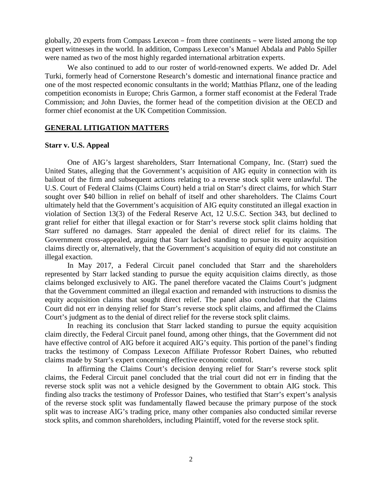globally, 20 experts from Compass Lexecon – from three continents – were listed among the top expert witnesses in the world. In addition, Compass Lexecon's Manuel Abdala and Pablo Spiller were named as two of the most highly regarded international arbitration experts.

We also continued to add to our roster of world-renowned experts. We added Dr. Adel Turki, formerly head of Cornerstone Research's domestic and international finance practice and one of the most respected economic consultants in the world; Matthias Pflanz, one of the leading competition economists in Europe; Chris Garmon, a former staff economist at the Federal Trade Commission; and John Davies, the former head of the competition division at the OECD and former chief economist at the UK Competition Commission.

### **GENERAL LITIGATION MATTERS**

### **Starr v. U.S. Appeal**

One of AIG's largest shareholders, Starr International Company, Inc. (Starr) sued the United States, alleging that the Government's acquisition of AIG equity in connection with its bailout of the firm and subsequent actions relating to a reverse stock split were unlawful. The U.S. Court of Federal Claims (Claims Court) held a trial on Starr's direct claims, for which Starr sought over \$40 billion in relief on behalf of itself and other shareholders. The Claims Court ultimately held that the Government's acquisition of AIG equity constituted an illegal exaction in violation of Section 13(3) of the Federal Reserve Act, 12 U.S.C. Section 343, but declined to grant relief for either that illegal exaction or for Starr's reverse stock split claims holding that Starr suffered no damages. Starr appealed the denial of direct relief for its claims. The Government cross-appealed, arguing that Starr lacked standing to pursue its equity acquisition claims directly or, alternatively, that the Government's acquisition of equity did not constitute an illegal exaction.

In May 2017, a Federal Circuit panel concluded that Starr and the shareholders represented by Starr lacked standing to pursue the equity acquisition claims directly, as those claims belonged exclusively to AIG. The panel therefore vacated the Claims Court's judgment that the Government committed an illegal exaction and remanded with instructions to dismiss the equity acquisition claims that sought direct relief. The panel also concluded that the Claims Court did not err in denying relief for Starr's reverse stock split claims, and affirmed the Claims Court's judgment as to the denial of direct relief for the reverse stock split claims.

In reaching its conclusion that Starr lacked standing to pursue the equity acquisition claim directly, the Federal Circuit panel found, among other things, that the Government did not have effective control of AIG before it acquired AIG's equity. This portion of the panel's finding tracks the testimony of Compass Lexecon Affiliate Professor Robert Daines, who rebutted claims made by Starr's expert concerning effective economic control.

In affirming the Claims Court's decision denying relief for Starr's reverse stock split claims, the Federal Circuit panel concluded that the trial court did not err in finding that the reverse stock split was not a vehicle designed by the Government to obtain AIG stock. This finding also tracks the testimony of Professor Daines, who testified that Starr's expert's analysis of the reverse stock split was fundamentally flawed because the primary purpose of the stock split was to increase AIG's trading price, many other companies also conducted similar reverse stock splits, and common shareholders, including Plaintiff, voted for the reverse stock split.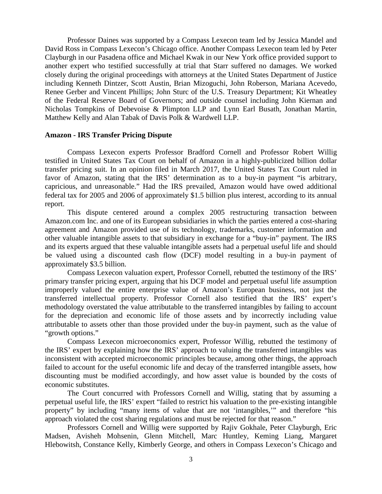Professor Daines was supported by a Compass Lexecon team led by Jessica Mandel and David Ross in Compass Lexecon's Chicago office. Another Compass Lexecon team led by Peter Clayburgh in our Pasadena office and Michael Kwak in our New York office provided support to another expert who testified successfully at trial that Starr suffered no damages. We worked closely during the original proceedings with attorneys at the United States Department of Justice including Kenneth Dintzer, Scott Austin, Brian Mizoguchi, John Roberson, Mariana Acevedo, Renee Gerber and Vincent Phillips; John Sturc of the U.S. Treasury Department; Kit Wheatley of the Federal Reserve Board of Governors; and outside counsel including John Kiernan and Nicholas Tompkins of Debevoise & Plimpton LLP and Lynn Earl Busath, Jonathan Martin, Matthew Kelly and Alan Tabak of Davis Polk & Wardwell LLP.

### **Amazon - IRS Transfer Pricing Dispute**

Compass Lexecon experts Professor Bradford Cornell and Professor Robert Willig testified in United States Tax Court on behalf of Amazon in a highly-publicized billion dollar transfer pricing suit. In an opinion filed in March 2017, the United States Tax Court ruled in favor of Amazon, stating that the IRS' determination as to a buy-in payment "is arbitrary, capricious, and unreasonable." Had the IRS prevailed, Amazon would have owed additional federal tax for 2005 and 2006 of approximately \$1.5 billion plus interest, according to its annual report.

This dispute centered around a complex 2005 restructuring transaction between Amazon.com Inc. and one of its European subsidiaries in which the parties entered a cost-sharing agreement and Amazon provided use of its technology, trademarks, customer information and other valuable intangible assets to that subsidiary in exchange for a "buy-in" payment. The IRS and its experts argued that these valuable intangible assets had a perpetual useful life and should be valued using a discounted cash flow (DCF) model resulting in a buy-in payment of approximately \$3.5 billion.

Compass Lexecon valuation expert, Professor Cornell, rebutted the testimony of the IRS' primary transfer pricing expert, arguing that his DCF model and perpetual useful life assumption improperly valued the entire enterprise value of Amazon's European business, not just the transferred intellectual property. Professor Cornell also testified that the IRS' expert's methodology overstated the value attributable to the transferred intangibles by failing to account for the depreciation and economic life of those assets and by incorrectly including value attributable to assets other than those provided under the buy-in payment, such as the value of "growth options."

Compass Lexecon microeconomics expert, Professor Willig, rebutted the testimony of the IRS' expert by explaining how the IRS' approach to valuing the transferred intangibles was inconsistent with accepted microeconomic principles because, among other things, the approach failed to account for the useful economic life and decay of the transferred intangible assets, how discounting must be modified accordingly, and how asset value is bounded by the costs of economic substitutes.

The Court concurred with Professors Cornell and Willig, stating that by assuming a perpetual useful life, the IRS' expert "failed to restrict his valuation to the pre-existing intangible property" by including "many items of value that are not 'intangibles,'" and therefore "his approach violated the cost sharing regulations and must be rejected for that reason."

Professors Cornell and Willig were supported by Rajiv Gokhale, Peter Clayburgh, Eric Madsen, Avisheh Mohsenin, Glenn Mitchell, Marc Huntley, Keming Liang, Margaret Hlebowitsh, Constance Kelly, Kimberly George, and others in Compass Lexecon's Chicago and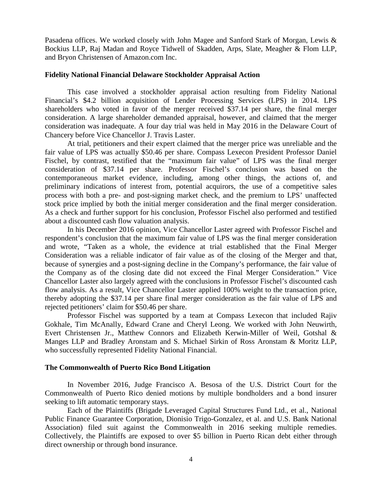Pasadena offices. We worked closely with John Magee and Sanford Stark of Morgan, Lewis & Bockius LLP, Raj Madan and Royce Tidwell of Skadden, Arps, Slate, Meagher & Flom LLP, and Bryon Christensen of Amazon.com Inc.

### **Fidelity National Financial Delaware Stockholder Appraisal Action**

This case involved a stockholder appraisal action resulting from Fidelity National Financial's \$4.2 billion acquisition of Lender Processing Services (LPS) in 2014. LPS shareholders who voted in favor of the merger received \$37.14 per share, the final merger consideration. A large shareholder demanded appraisal, however, and claimed that the merger consideration was inadequate. A four day trial was held in May 2016 in the Delaware Court of Chancery before Vice Chancellor J. Travis Laster.

At trial, petitioners and their expert claimed that the merger price was unreliable and the fair value of LPS was actually \$50.46 per share. Compass Lexecon President Professor Daniel Fischel, by contrast, testified that the "maximum fair value" of LPS was the final merger consideration of \$37.14 per share. Professor Fischel's conclusion was based on the contemporaneous market evidence, including, among other things, the actions of, and preliminary indications of interest from, potential acquirors, the use of a competitive sales process with both a pre- and post-signing market check, and the premium to LPS' unaffected stock price implied by both the initial merger consideration and the final merger consideration. As a check and further support for his conclusion, Professor Fischel also performed and testified about a discounted cash flow valuation analysis.

In his December 2016 opinion, Vice Chancellor Laster agreed with Professor Fischel and respondent's conclusion that the maximum fair value of LPS was the final merger consideration and wrote, "Taken as a whole, the evidence at trial established that the Final Merger Consideration was a reliable indicator of fair value as of the closing of the Merger and that, because of synergies and a post-signing decline in the Company's performance, the fair value of the Company as of the closing date did not exceed the Final Merger Consideration." Vice Chancellor Laster also largely agreed with the conclusions in Professor Fischel's discounted cash flow analysis. As a result, Vice Chancellor Laster applied 100% weight to the transaction price, thereby adopting the \$37.14 per share final merger consideration as the fair value of LPS and rejected petitioners' claim for \$50.46 per share.

Professor Fischel was supported by a team at Compass Lexecon that included Rajiv Gokhale, Tim McAnally, Edward Crane and Cheryl Leong. We worked with John Neuwirth, Evert Christensen Jr., Matthew Connors and Elizabeth Kerwin-Miller of Weil, Gotshal & Manges LLP and Bradley Aronstam and S. Michael Sirkin of Ross Aronstam & Moritz LLP, who successfully represented Fidelity National Financial.

### **The Commonwealth of Puerto Rico Bond Litigation**

In November 2016, Judge Francisco A. Besosa of the U.S. District Court for the Commonwealth of Puerto Rico denied motions by multiple bondholders and a bond insurer seeking to lift automatic temporary stays.

Each of the Plaintiffs (Brigade Leveraged Capital Structures Fund Ltd., et al., National Public Finance Guarantee Corporation, Dionisio Trigo-Gonzalez, et al. and U.S. Bank National Association) filed suit against the Commonwealth in 2016 seeking multiple remedies. Collectively, the Plaintiffs are exposed to over \$5 billion in Puerto Rican debt either through direct ownership or through bond insurance.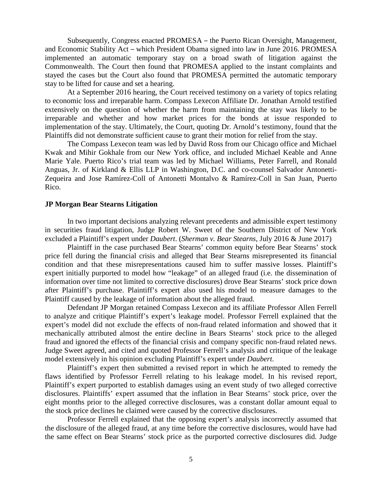Subsequently, Congress enacted PROMESA – the Puerto Rican Oversight, Management, and Economic Stability Act – which President Obama signed into law in June 2016. PROMESA implemented an automatic temporary stay on a broad swath of litigation against the Commonwealth. The Court then found that PROMESA applied to the instant complaints and stayed the cases but the Court also found that PROMESA permitted the automatic temporary stay to be lifted for cause and set a hearing.

At a September 2016 hearing, the Court received testimony on a variety of topics relating to economic loss and irreparable harm. Compass Lexecon Affiliate Dr. Jonathan Arnold testified extensively on the question of whether the harm from maintaining the stay was likely to be irreparable and whether and how market prices for the bonds at issue responded to implementation of the stay. Ultimately, the Court, quoting Dr. Arnold's testimony, found that the Plaintiffs did not demonstrate sufficient cause to grant their motion for relief from the stay.

The Compass Lexecon team was led by David Ross from our Chicago office and Michael Kwak and Mihir Gokhale from our New York office, and included Michael Keable and Anne Marie Yale. Puerto Rico's trial team was led by Michael Williams, Peter Farrell, and Ronald Anguas, Jr. of Kirkland & Ellis LLP in Washington, D.C. and co-counsel Salvador Antonetti-Zequeira and Jose Ramírez-Coll of Antonetti Montalvo & Ramírez-Coll in San Juan, Puerto Rico.

### **JP Morgan Bear Stearns Litigation**

In two important decisions analyzing relevant precedents and admissible expert testimony in securities fraud litigation, Judge Robert W. Sweet of the Southern District of New York excluded a Plaintiff's expert under *Daubert*. (*Sherman v. Bear Stearns*, July 2016 & June 2017)

Plaintiff in the case purchased Bear Stearns' common equity before Bear Stearns' stock price fell during the financial crisis and alleged that Bear Stearns misrepresented its financial condition and that these misrepresentations caused him to suffer massive losses. Plaintiff's expert initially purported to model how "leakage" of an alleged fraud (i.e. the dissemination of information over time not limited to corrective disclosures) drove Bear Stearns' stock price down after Plaintiff's purchase. Plaintiff's expert also used his model to measure damages to the Plaintiff caused by the leakage of information about the alleged fraud.

Defendant JP Morgan retained Compass Lexecon and its affiliate Professor Allen Ferrell to analyze and critique Plaintiff's expert's leakage model. Professor Ferrell explained that the expert's model did not exclude the effects of non-fraud related information and showed that it mechanically attributed almost the entire decline in Bears Stearns' stock price to the alleged fraud and ignored the effects of the financial crisis and company specific non-fraud related news. Judge Sweet agreed, and cited and quoted Professor Ferrell's analysis and critique of the leakage model extensively in his opinion excluding Plaintiff's expert under *Daubert*.

Plaintiff's expert then submitted a revised report in which he attempted to remedy the flaws identified by Professor Ferrell relating to his leakage model. In his revised report, Plaintiff's expert purported to establish damages using an event study of two alleged corrective disclosures. Plaintiffs' expert assumed that the inflation in Bear Stearns' stock price, over the eight months prior to the alleged corrective disclosures, was a constant dollar amount equal to the stock price declines he claimed were caused by the corrective disclosures.

Professor Ferrell explained that the opposing expert's analysis incorrectly assumed that the disclosure of the alleged fraud, at any time before the corrective disclosures, would have had the same effect on Bear Stearns' stock price as the purported corrective disclosures did. Judge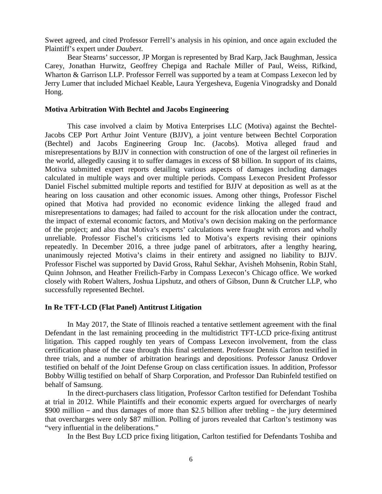Sweet agreed, and cited Professor Ferrell's analysis in his opinion, and once again excluded the Plaintiff's expert under *Daubert*.

Bear Stearns' successor, JP Morgan is represented by Brad Karp, Jack Baughman, Jessica Carey, Jonathan Hurwitz, Geoffrey Chepiga and Rachale Miller of Paul, Weiss, Rifkind, Wharton & Garrison LLP. Professor Ferrell was supported by a team at Compass Lexecon led by Jerry Lumer that included Michael Keable, Laura Yergesheva, Eugenia Vinogradsky and Donald Hong.

### **Motiva Arbitration With Bechtel and Jacobs Engineering**

This case involved a claim by Motiva Enterprises LLC (Motiva) against the Bechtel-Jacobs CEP Port Arthur Joint Venture (BJJV), a joint venture between Bechtel Corporation (Bechtel) and Jacobs Engineering Group Inc. (Jacobs). Motiva alleged fraud and misrepresentations by BJJV in connection with construction of one of the largest oil refineries in the world, allegedly causing it to suffer damages in excess of \$8 billion. In support of its claims, Motiva submitted expert reports detailing various aspects of damages including damages calculated in multiple ways and over multiple periods. Compass Lexecon President Professor Daniel Fischel submitted multiple reports and testified for BJJV at deposition as well as at the hearing on loss causation and other economic issues. Among other things, Professor Fischel opined that Motiva had provided no economic evidence linking the alleged fraud and misrepresentations to damages; had failed to account for the risk allocation under the contract, the impact of external economic factors, and Motiva's own decision making on the performance of the project; and also that Motiva's experts' calculations were fraught with errors and wholly unreliable. Professor Fischel's criticisms led to Motiva's experts revising their opinions repeatedly. In December 2016, a three judge panel of arbitrators, after a lengthy hearing, unanimously rejected Motiva's claims in their entirety and assigned no liability to BJJV. Professor Fischel was supported by David Gross, Rahul Sekhar, Avisheh Mohsenin, Robin Stahl, Quinn Johnson, and Heather Freilich-Farby in Compass Lexecon's Chicago office. We worked closely with Robert Walters, Joshua Lipshutz, and others of Gibson, Dunn & Crutcher LLP, who successfully represented Bechtel.

### **In Re TFT-LCD (Flat Panel) Antitrust Litigation**

In May 2017, the State of Illinois reached a tentative settlement agreement with the final Defendant in the last remaining proceeding in the multidistrict TFT-LCD price-fixing antitrust litigation. This capped roughly ten years of Compass Lexecon involvement, from the class certification phase of the case through this final settlement. Professor Dennis Carlton testified in three trials, and a number of arbitration hearings and depositions. Professor Janusz Ordover testified on behalf of the Joint Defense Group on class certification issues. In addition, Professor Bobby Willig testified on behalf of Sharp Corporation, and Professor Dan Rubinfeld testified on behalf of Samsung.

In the direct-purchasers class litigation, Professor Carlton testified for Defendant Toshiba at trial in 2012. While Plaintiffs and their economic experts argued for overcharges of nearly \$900 million – and thus damages of more than \$2.5 billion after trebling – the jury determined that overcharges were only \$87 million. Polling of jurors revealed that Carlton's testimony was "very influential in the deliberations."

In the Best Buy LCD price fixing litigation, Carlton testified for Defendants Toshiba and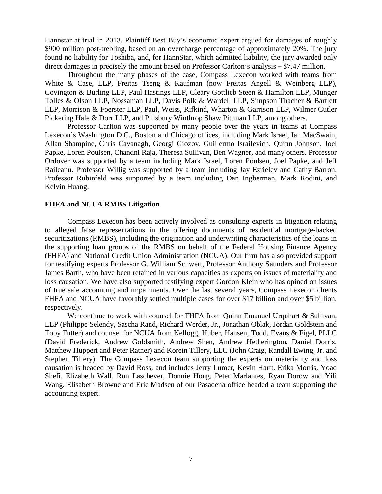Hannstar at trial in 2013. Plaintiff Best Buy's economic expert argued for damages of roughly \$900 million post-trebling, based on an overcharge percentage of approximately 20%. The jury found no liability for Toshiba, and, for HannStar, which admitted liability, the jury awarded only direct damages in precisely the amount based on Professor Carlton's analysis – \$7.47 million.

Throughout the many phases of the case, Compass Lexecon worked with teams from White & Case, LLP, Freitas Tseng & Kaufman (now Freitas Angell & Weinberg LLP), Covington & Burling LLP, Paul Hastings LLP, Cleary Gottlieb Steen & Hamilton LLP, Munger Tolles & Olson LLP, Nossaman LLP, Davis Polk & Wardell LLP, Simpson Thacher & Bartlett LLP, Morrison & Foerster LLP, Paul, Weiss, Rifkind, Wharton & Garrison LLP, Wilmer Cutler Pickering Hale & Dorr LLP, and Pillsbury Winthrop Shaw Pittman LLP, among others.

Professor Carlton was supported by many people over the years in teams at Compass Lexecon's Washington D.C., Boston and Chicago offices, including Mark Israel, Ian MacSwain, Allan Shampine, Chris Cavanagh, Georgi Giozov, Guillermo Israilevich, Quinn Johnson, Joel Papke, Loren Poulsen, Chandni Raja, Theresa Sullivan, Ben Wagner, and many others. Professor Ordover was supported by a team including Mark Israel, Loren Poulsen, Joel Papke, and Jeff Raileanu. Professor Willig was supported by a team including Jay Ezrielev and Cathy Barron. Professor Rubinfeld was supported by a team including Dan Ingberman, Mark Rodini, and Kelvin Huang.

#### **FHFA and NCUA RMBS Litigation**

Compass Lexecon has been actively involved as consulting experts in litigation relating to alleged false representations in the offering documents of residential mortgage-backed securitizations (RMBS), including the origination and underwriting characteristics of the loans in the supporting loan groups of the RMBS on behalf of the Federal Housing Finance Agency (FHFA) and National Credit Union Administration (NCUA). Our firm has also provided support for testifying experts Professor G. William Schwert, Professor Anthony Saunders and Professor James Barth, who have been retained in various capacities as experts on issues of materiality and loss causation. We have also supported testifying expert Gordon Klein who has opined on issues of true sale accounting and impairments. Over the last several years, Compass Lexecon clients FHFA and NCUA have favorably settled multiple cases for over \$17 billion and over \$5 billion, respectively.

We continue to work with counsel for FHFA from Quinn Emanuel Urquhart & Sullivan, LLP (Philippe Selendy, Sascha Rand, Richard Werder, Jr., Jonathan Oblak, Jordan Goldstein and Toby Futter) and counsel for NCUA from Kellogg, Huber, Hansen, Todd, Evans & Figel, PLLC (David Frederick, Andrew Goldsmith, Andrew Shen, Andrew Hetherington, Daniel Dorris, Matthew Huppert and Peter Ratner) and Korein Tillery, LLC (John Craig, Randall Ewing, Jr. and Stephen Tillery). The Compass Lexecon team supporting the experts on materiality and loss causation is headed by David Ross, and includes Jerry Lumer, Kevin Hartt, Erika Morris, Yoad Shefi, Elizabeth Wall, Ron Laschever, Donnie Hong, Peter Marlantes, Ryan Dorow and Yili Wang. Elisabeth Browne and Eric Madsen of our Pasadena office headed a team supporting the accounting expert.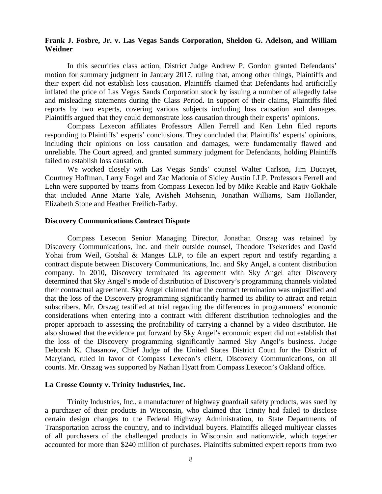### **Frank J. Fosbre, Jr. v. Las Vegas Sands Corporation, Sheldon G. Adelson, and William Weidner**

In this securities class action, District Judge Andrew P. Gordon granted Defendants' motion for summary judgment in January 2017, ruling that, among other things, Plaintiffs and their expert did not establish loss causation. Plaintiffs claimed that Defendants had artificially inflated the price of Las Vegas Sands Corporation stock by issuing a number of allegedly false and misleading statements during the Class Period. In support of their claims, Plaintiffs filed reports by two experts, covering various subjects including loss causation and damages. Plaintiffs argued that they could demonstrate loss causation through their experts' opinions.

Compass Lexecon affiliates Professors Allen Ferrell and Ken Lehn filed reports responding to Plaintiffs' experts' conclusions. They concluded that Plaintiffs' experts' opinions, including their opinions on loss causation and damages, were fundamentally flawed and unreliable. The Court agreed, and granted summary judgment for Defendants, holding Plaintiffs failed to establish loss causation.

We worked closely with Las Vegas Sands' counsel Walter Carlson, Jim Ducayet, Courtney Hoffman, Larry Fogel and Zac Madonia of Sidley Austin LLP. Professors Ferrell and Lehn were supported by teams from Compass Lexecon led by Mike Keable and Rajiv Gokhale that included Anne Marie Yale, Avisheh Mohsenin, Jonathan Williams, Sam Hollander, Elizabeth Stone and Heather Freilich-Farby.

#### **Discovery Communications Contract Dispute**

Compass Lexecon Senior Managing Director, Jonathan Orszag was retained by Discovery Communications, Inc. and their outside counsel, Theodore Tsekerides and David Yohai from Weil, Gotshal & Manges LLP, to file an expert report and testify regarding a contract dispute between Discovery Communications, Inc. and Sky Angel, a content distribution company. In 2010, Discovery terminated its agreement with Sky Angel after Discovery determined that Sky Angel's mode of distribution of Discovery's programming channels violated their contractual agreement. Sky Angel claimed that the contract termination was unjustified and that the loss of the Discovery programming significantly harmed its ability to attract and retain subscribers. Mr. Orszag testified at trial regarding the differences in programmers' economic considerations when entering into a contract with different distribution technologies and the proper approach to assessing the profitability of carrying a channel by a video distributor. He also showed that the evidence put forward by Sky Angel's economic expert did not establish that the loss of the Discovery programming significantly harmed Sky Angel's business. Judge Deborah K. Chasanow, Chief Judge of the United States District Court for the District of Maryland, ruled in favor of Compass Lexecon's client, Discovery Communications, on all counts. Mr. Orszag was supported by Nathan Hyatt from Compass Lexecon's Oakland office.

### **La Crosse County v. Trinity Industries, Inc.**

Trinity Industries, Inc., a manufacturer of highway guardrail safety products, was sued by a purchaser of their products in Wisconsin, who claimed that Trinity had failed to disclose certain design changes to the Federal Highway Administration, to State Departments of Transportation across the country, and to individual buyers. Plaintiffs alleged multiyear classes of all purchasers of the challenged products in Wisconsin and nationwide, which together accounted for more than \$240 million of purchases. Plaintiffs submitted expert reports from two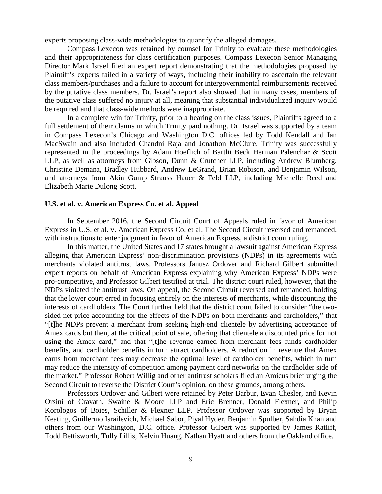experts proposing class-wide methodologies to quantify the alleged damages.

Compass Lexecon was retained by counsel for Trinity to evaluate these methodologies and their appropriateness for class certification purposes. Compass Lexecon Senior Managing Director Mark Israel filed an expert report demonstrating that the methodologies proposed by Plaintiff's experts failed in a variety of ways, including their inability to ascertain the relevant class members/purchases and a failure to account for intergovernmental reimbursements received by the putative class members. Dr. Israel's report also showed that in many cases, members of the putative class suffered no injury at all, meaning that substantial individualized inquiry would be required and that class-wide methods were inappropriate.

In a complete win for Trinity, prior to a hearing on the class issues, Plaintiffs agreed to a full settlement of their claims in which Trinity paid nothing. Dr. Israel was supported by a team in Compass Lexecon's Chicago and Washington D.C. offices led by Todd Kendall and Ian MacSwain and also included Chandni Raja and Jonathon McClure. Trinity was successfully represented in the proceedings by Adam Hoeflich of Bartlit Beck Herman Palenchar & Scott LLP, as well as attorneys from Gibson, Dunn & Crutcher LLP, including Andrew Blumberg, Christine Demana, Bradley Hubbard, Andrew LeGrand, Brian Robison, and Benjamin Wilson, and attorneys from Akin Gump Strauss Hauer & Feld LLP, including Michelle Reed and Elizabeth Marie Dulong Scott.

### **U.S. et al. v. American Express Co. et al. Appeal**

In September 2016, the Second Circuit Court of Appeals ruled in favor of American Express in U.S. et al. v. American Express Co. et al. The Second Circuit reversed and remanded, with instructions to enter judgment in favor of American Express, a district court ruling.

In this matter, the United States and 17 states brought a lawsuit against American Express alleging that American Express' non-discrimination provisions (NDPs) in its agreements with merchants violated antitrust laws. Professors Janusz Ordover and Richard Gilbert submitted expert reports on behalf of American Express explaining why American Express' NDPs were pro-competitive, and Professor Gilbert testified at trial. The district court ruled, however, that the NDPs violated the antitrust laws. On appeal, the Second Circuit reversed and remanded, holding that the lower court erred in focusing entirely on the interests of merchants, while discounting the interests of cardholders. The Court further held that the district court failed to consider "the twosided net price accounting for the effects of the NDPs on both merchants and cardholders," that "[t]he NDPs prevent a merchant from seeking high-end clientele by advertising acceptance of Amex cards but then, at the critical point of sale, offering that clientele a discounted price for not using the Amex card," and that "[t]he revenue earned from merchant fees funds cardholder benefits, and cardholder benefits in turn attract cardholders. A reduction in revenue that Amex earns from merchant fees may decrease the optimal level of cardholder benefits, which in turn may reduce the intensity of competition among payment card networks on the cardholder side of the market." Professor Robert Willig and other antitrust scholars filed an Amicus brief urging the Second Circuit to reverse the District Court's opinion, on these grounds, among others.

Professors Ordover and Gilbert were retained by Peter Barbur, Evan Chesler, and Kevin Orsini of Cravath, Swaine & Moore LLP and Eric Brenner, Donald Flexner, and Philip Korologos of Boies, Schiller & Flexner LLP. Professor Ordover was supported by Bryan Keating, Guillermo Israilevich, Michael Sabor, Piyal Hyder, Benjamin Spulber, Sahdia Khan and others from our Washington, D.C. office. Professor Gilbert was supported by James Ratliff, Todd Bettisworth, Tully Lillis, Kelvin Huang, Nathan Hyatt and others from the Oakland office.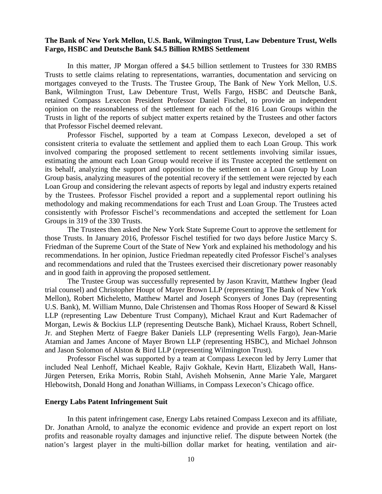### **The Bank of New York Mellon, U.S. Bank, Wilmington Trust, Law Debenture Trust, Wells Fargo, HSBC and Deutsche Bank \$4.5 Billion RMBS Settlement**

In this matter, JP Morgan offered a \$4.5 billion settlement to Trustees for 330 RMBS Trusts to settle claims relating to representations, warranties, documentation and servicing on mortgages conveyed to the Trusts. The Trustee Group, The Bank of New York Mellon, U.S. Bank, Wilmington Trust, Law Debenture Trust, Wells Fargo, HSBC and Deutsche Bank, retained Compass Lexecon President Professor Daniel Fischel, to provide an independent opinion on the reasonableness of the settlement for each of the 816 Loan Groups within the Trusts in light of the reports of subject matter experts retained by the Trustees and other factors that Professor Fischel deemed relevant.

Professor Fischel, supported by a team at Compass Lexecon, developed a set of consistent criteria to evaluate the settlement and applied them to each Loan Group. This work involved comparing the proposed settlement to recent settlements involving similar issues, estimating the amount each Loan Group would receive if its Trustee accepted the settlement on its behalf, analyzing the support and opposition to the settlement on a Loan Group by Loan Group basis, analyzing measures of the potential recovery if the settlement were rejected by each Loan Group and considering the relevant aspects of reports by legal and industry experts retained by the Trustees. Professor Fischel provided a report and a supplemental report outlining his methodology and making recommendations for each Trust and Loan Group. The Trustees acted consistently with Professor Fischel's recommendations and accepted the settlement for Loan Groups in 319 of the 330 Trusts.

The Trustees then asked the New York State Supreme Court to approve the settlement for those Trusts. In January 2016, Professor Fischel testified for two days before Justice Marcy S. Friedman of the Supreme Court of the State of New York and explained his methodology and his recommendations. In her opinion, Justice Friedman repeatedly cited Professor Fischel's analyses and recommendations and ruled that the Trustees exercised their discretionary power reasonably and in good faith in approving the proposed settlement.

The Trustee Group was successfully represented by Jason Kravitt, Matthew Ingber (lead trial counsel) and Christopher Houpt of Mayer Brown LLP (representing The Bank of New York Mellon), Robert Micheletto, Matthew Martel and Joseph Sconyers of Jones Day (representing U.S. Bank), M. William Munno, Dale Christensen and Thomas Ross Hooper of Seward & Kissel LLP (representing Law Debenture Trust Company), Michael Kraut and Kurt Rademacher of Morgan, Lewis & Bockius LLP (representing Deutsche Bank), Michael Krauss, Robert Schnell, Jr. and Stephen Mertz of Faegre Baker Daniels LLP (representing Wells Fargo), Jean-Marie Atamian and James Ancone of Mayer Brown LLP (representing HSBC), and Michael Johnson and Jason Solomon of Alston & Bird LLP (representing Wilmington Trust).

Professor Fischel was supported by a team at Compass Lexecon led by Jerry Lumer that included Neal Lenhoff, Michael Keable, Rajiv Gokhale, Kevin Hartt, Elizabeth Wall, Hans-Jürgen Petersen, Erika Morris, Robin Stahl, Avisheh Mohsenin, Anne Marie Yale, Margaret Hlebowitsh, Donald Hong and Jonathan Williams, in Compass Lexecon's Chicago office.

#### **Energy Labs Patent Infringement Suit**

In this patent infringement case, Energy Labs retained Compass Lexecon and its affiliate, Dr. Jonathan Arnold, to analyze the economic evidence and provide an expert report on lost profits and reasonable royalty damages and injunctive relief. The dispute between Nortek (the nation's largest player in the multi-billion dollar market for heating, ventilation and air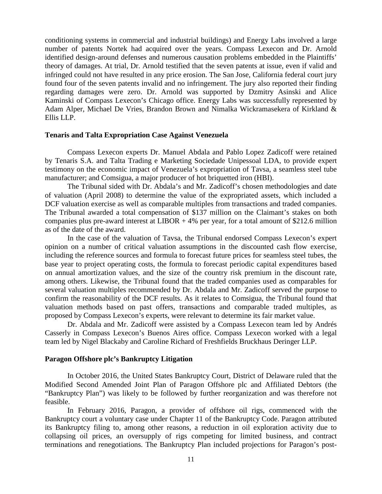conditioning systems in commercial and industrial buildings) and Energy Labs involved a large number of patents Nortek had acquired over the years. Compass Lexecon and Dr. Arnold identified design-around defenses and numerous causation problems embedded in the Plaintiffs' theory of damages. At trial, Dr. Arnold testified that the seven patents at issue, even if valid and infringed could not have resulted in any price erosion. The San Jose, California federal court jury found four of the seven patents invalid and no infringement. The jury also reported their finding regarding damages were zero. Dr. Arnold was supported by Dzmitry Asinski and Alice Kaminski of Compass Lexecon's Chicago office. Energy Labs was successfully represented by Adam Alper, Michael De Vries, Brandon Brown and Nimalka Wickramasekera of Kirkland & Ellis LLP.

#### **Tenaris and Talta Expropriation Case Against Venezuela**

Compass Lexecon experts Dr. Manuel Abdala and Pablo Lopez Zadicoff were retained by Tenaris S.A. and Talta Trading e Marketing Sociedade Unipessoal LDA, to provide expert testimony on the economic impact of Venezuela's expropriation of Tavsa, a seamless steel tube manufacturer; and Comsigua, a major producer of hot briquetted iron (HBI).

The Tribunal sided with Dr. Abdala's and Mr. Zadicoff's chosen methodologies and date of valuation (April 2008) to determine the value of the expropriated assets, which included a DCF valuation exercise as well as comparable multiples from transactions and traded companies. The Tribunal awarded a total compensation of \$137 million on the Claimant's stakes on both companies plus pre-award interest at LIBOR  $+4\%$  per year, for a total amount of \$212.6 million as of the date of the award.

In the case of the valuation of Tavsa, the Tribunal endorsed Compass Lexecon's expert opinion on a number of critical valuation assumptions in the discounted cash flow exercise, including the reference sources and formula to forecast future prices for seamless steel tubes, the base year to project operating costs, the formula to forecast periodic capital expenditures based on annual amortization values, and the size of the country risk premium in the discount rate, among others. Likewise, the Tribunal found that the traded companies used as comparables for several valuation multiples recommended by Dr. Abdala and Mr. Zadicoff served the purpose to confirm the reasonability of the DCF results. As it relates to Comsigua, the Tribunal found that valuation methods based on past offers, transactions and comparable traded multiples, as proposed by Compass Lexecon's experts, were relevant to determine its fair market value.

Dr. Abdala and Mr. Zadicoff were assisted by a Compass Lexecon team led by Andrés Casserly in Compass Lexecon's Buenos Aires office. Compass Lexecon worked with a legal team led by Nigel Blackaby and Caroline Richard of Freshfields Bruckhaus Deringer LLP.

#### **Paragon Offshore plc's Bankruptcy Litigation**

In October 2016, the United States Bankruptcy Court, District of Delaware ruled that the Modified Second Amended Joint Plan of Paragon Offshore plc and Affiliated Debtors (the "Bankruptcy Plan") was likely to be followed by further reorganization and was therefore not feasible.

In February 2016, Paragon, a provider of offshore oil rigs, commenced with the Bankruptcy court a voluntary case under Chapter 11 of the Bankruptcy Code. Paragon attributed its Bankruptcy filing to, among other reasons, a reduction in oil exploration activity due to collapsing oil prices, an oversupply of rigs competing for limited business, and contract terminations and renegotiations. The Bankruptcy Plan included projections for Paragon's post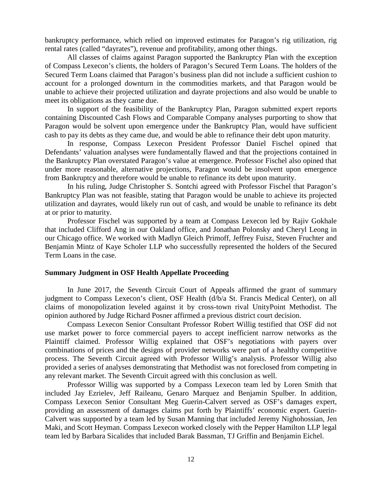bankruptcy performance, which relied on improved estimates for Paragon's rig utilization, rig rental rates (called "dayrates"), revenue and profitability, among other things.

All classes of claims against Paragon supported the Bankruptcy Plan with the exception of Compass Lexecon's clients, the holders of Paragon's Secured Term Loans. The holders of the Secured Term Loans claimed that Paragon's business plan did not include a sufficient cushion to account for a prolonged downturn in the commodities markets, and that Paragon would be unable to achieve their projected utilization and dayrate projections and also would be unable to meet its obligations as they came due.

In support of the feasibility of the Bankruptcy Plan, Paragon submitted expert reports containing Discounted Cash Flows and Comparable Company analyses purporting to show that Paragon would be solvent upon emergence under the Bankruptcy Plan, would have sufficient cash to pay its debts as they came due, and would be able to refinance their debt upon maturity.

In response, Compass Lexecon President Professor Daniel Fischel opined that Defendants' valuation analyses were fundamentally flawed and that the projections contained in the Bankruptcy Plan overstated Paragon's value at emergence. Professor Fischel also opined that under more reasonable, alternative projections, Paragon would be insolvent upon emergence from Bankruptcy and therefore would be unable to refinance its debt upon maturity.

In his ruling, Judge Christopher S. Sontchi agreed with Professor Fischel that Paragon's Bankruptcy Plan was not feasible, stating that Paragon would be unable to achieve its projected utilization and dayrates, would likely run out of cash, and would be unable to refinance its debt at or prior to maturity.

Professor Fischel was supported by a team at Compass Lexecon led by Rajiv Gokhale that included Clifford Ang in our Oakland office, and Jonathan Polonsky and Cheryl Leong in our Chicago office. We worked with Madlyn Gleich Primoff, Jeffrey Fuisz, Steven Fruchter and Benjamin Mintz of Kaye Scholer LLP who successfully represented the holders of the Secured Term Loans in the case.

### **Summary Judgment in OSF Health Appellate Proceeding**

In June 2017, the Seventh Circuit Court of Appeals affirmed the grant of summary judgment to Compass Lexecon's client, OSF Health (d/b/a St. Francis Medical Center), on all claims of monopolization leveled against it by cross-town rival UnityPoint Methodist. The opinion authored by Judge Richard Posner affirmed a previous district court decision.

Compass Lexecon Senior Consultant Professor Robert Willig testified that OSF did not use market power to force commercial payers to accept inefficient narrow networks as the Plaintiff claimed. Professor Willig explained that OSF's negotiations with payers over combinations of prices and the designs of provider networks were part of a healthy competitive process. The Seventh Circuit agreed with Professor Willig's analysis. Professor Willig also provided a series of analyses demonstrating that Methodist was not foreclosed from competing in any relevant market. The Seventh Circuit agreed with this conclusion as well.

Professor Willig was supported by a Compass Lexecon team led by Loren Smith that included Jay Ezrielev, Jeff Raileanu, Genaro Marquez and Benjamin Spulber. In addition, Compass Lexecon Senior Consultant Meg Guerin-Calvert served as OSF's damages expert, providing an assessment of damages claims put forth by Plaintiffs' economic expert. Guerin-Calvert was supported by a team led by Susan Manning that included Jeremy Nighohossian, Jen Maki, and Scott Heyman. Compass Lexecon worked closely with the Pepper Hamilton LLP legal team led by Barbara Sicalides that included Barak Bassman, TJ Griffin and Benjamin Eichel.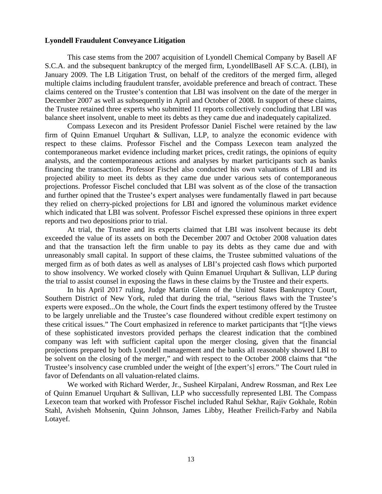#### **Lyondell Fraudulent Conveyance Litigation**

This case stems from the 2007 acquisition of Lyondell Chemical Company by Basell AF S.C.A. and the subsequent bankruptcy of the merged firm, LyondellBasell AF S.C.A. (LBI), in January 2009. The LB Litigation Trust, on behalf of the creditors of the merged firm, alleged multiple claims including fraudulent transfer, avoidable preference and breach of contract. These claims centered on the Trustee's contention that LBI was insolvent on the date of the merger in December 2007 as well as subsequently in April and October of 2008. In support of these claims, the Trustee retained three experts who submitted 11 reports collectively concluding that LBI was balance sheet insolvent, unable to meet its debts as they came due and inadequately capitalized.

Compass Lexecon and its President Professor Daniel Fischel were retained by the law firm of Quinn Emanuel Urquhart & Sullivan, LLP, to analyze the economic evidence with respect to these claims. Professor Fischel and the Compass Lexecon team analyzed the contemporaneous market evidence including market prices, credit ratings, the opinions of equity analysts, and the contemporaneous actions and analyses by market participants such as banks financing the transaction. Professor Fischel also conducted his own valuations of LBI and its projected ability to meet its debts as they came due under various sets of contemporaneous projections. Professor Fischel concluded that LBI was solvent as of the close of the transaction and further opined that the Trustee's expert analyses were fundamentally flawed in part because they relied on cherry-picked projections for LBI and ignored the voluminous market evidence which indicated that LBI was solvent. Professor Fischel expressed these opinions in three expert reports and two depositions prior to trial.

At trial, the Trustee and its experts claimed that LBI was insolvent because its debt exceeded the value of its assets on both the December 2007 and October 2008 valuation dates and that the transaction left the firm unable to pay its debts as they came due and with unreasonably small capital. In support of these claims, the Trustee submitted valuations of the merged firm as of both dates as well as analyses of LBI's projected cash flows which purported to show insolvency. We worked closely with Quinn Emanuel Urquhart & Sullivan, LLP during the trial to assist counsel in exposing the flaws in these claims by the Trustee and their experts.

In his April 2017 ruling, Judge Martin Glenn of the United States Bankruptcy Court, Southern District of New York, ruled that during the trial, "serious flaws with the Trustee's experts were exposed...On the whole, the Court finds the expert testimony offered by the Trustee to be largely unreliable and the Trustee's case floundered without credible expert testimony on these critical issues." The Court emphasized in reference to market participants that "[t]he views of these sophisticated investors provided perhaps the clearest indication that the combined company was left with sufficient capital upon the merger closing, given that the financial projections prepared by both Lyondell management and the banks all reasonably showed LBI to be solvent on the closing of the merger," and with respect to the October 2008 claims that "the Trustee's insolvency case crumbled under the weight of [the expert's] errors." The Court ruled in favor of Defendants on all valuation-related claims.

We worked with Richard Werder, Jr., Susheel Kirpalani, Andrew Rossman, and Rex Lee of Quinn Emanuel Urquhart & Sullivan, LLP who successfully represented LBI. The Compass Lexecon team that worked with Professor Fischel included Rahul Sekhar, Rajiv Gokhale, Robin Stahl, Avisheh Mohsenin, Quinn Johnson, James Libby, Heather Freilich-Farby and Nabila Lotayef.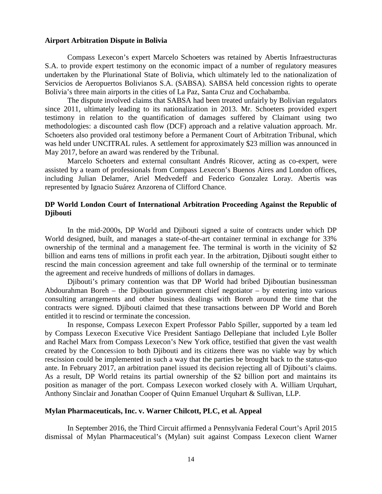### **Airport Arbitration Dispute in Bolivia**

Compass Lexecon's expert Marcelo Schoeters was retained by Abertis Infraestructuras S.A. to provide expert testimony on the economic impact of a number of regulatory measures undertaken by the Plurinational State of Bolivia, which ultimately led to the nationalization of Servicios de Aeropuertos Bolivianos S.A. (SABSA). SABSA held concession rights to operate Bolivia's three main airports in the cities of La Paz, Santa Cruz and Cochabamba.

The dispute involved claims that SABSA had been treated unfairly by Bolivian regulators since 2011, ultimately leading to its nationalization in 2013. Mr. Schoeters provided expert testimony in relation to the quantification of damages suffered by Claimant using two methodologies: a discounted cash flow (DCF) approach and a relative valuation approach. Mr. Schoeters also provided oral testimony before a Permanent Court of Arbitration Tribunal, which was held under UNCITRAL rules. A settlement for approximately \$23 million was announced in May 2017, before an award was rendered by the Tribunal.

Marcelo Schoeters and external consultant Andrés Ricover, acting as co-expert, were assisted by a team of professionals from Compass Lexecon's Buenos Aires and London offices, including Julian Delamer, Ariel Medvedeff and Federico Gonzalez Loray. Abertis was represented by Ignacio Suárez Anzorena of Clifford Chance.

# **DP World London Court of International Arbitration Proceeding Against the Republic of Djibouti**

In the mid-2000s, DP World and Djibouti signed a suite of contracts under which DP World designed, built, and manages a state-of-the-art container terminal in exchange for 33% ownership of the terminal and a management fee. The terminal is worth in the vicinity of \$2 billion and earns tens of millions in profit each year. In the arbitration, Djibouti sought either to rescind the main concession agreement and take full ownership of the terminal or to terminate the agreement and receive hundreds of millions of dollars in damages.

Djibouti's primary contention was that DP World had bribed Djiboutian businessman Abdourahman Boreh – the Djiboutian government chief negotiator – by entering into various consulting arrangements and other business dealings with Boreh around the time that the contracts were signed. Djibouti claimed that these transactions between DP World and Boreh entitled it to rescind or terminate the concession.

In response, Compass Lexecon Expert Professor Pablo Spiller, supported by a team led by Compass Lexecon Executive Vice President Santiago Dellepiane that included Lyle Boller and Rachel Marx from Compass Lexecon's New York office, testified that given the vast wealth created by the Concession to both Djibouti and its citizens there was no viable way by which rescission could be implemented in such a way that the parties be brought back to the status-quo ante. In February 2017, an arbitration panel issued its decision rejecting all of Djibouti's claims. As a result, DP World retains its partial ownership of the \$2 billion port and maintains its position as manager of the port. Compass Lexecon worked closely with A. William Urquhart, Anthony Sinclair and Jonathan Cooper of Quinn Emanuel Urquhart & Sullivan, LLP.

### **Mylan Pharmaceuticals, Inc. v. Warner Chilcott, PLC, et al. Appeal**

In September 2016, the Third Circuit affirmed a Pennsylvania Federal Court's April 2015 dismissal of Mylan Pharmaceutical's (Mylan) suit against Compass Lexecon client Warner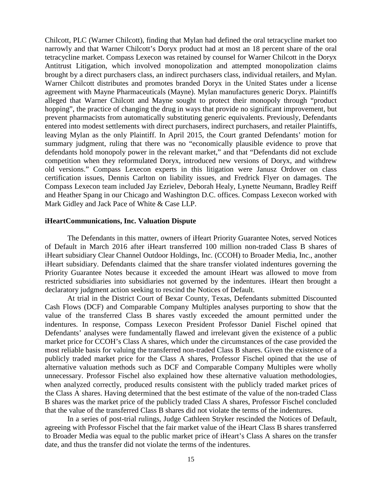Chilcott, PLC (Warner Chilcott), finding that Mylan had defined the oral tetracycline market too narrowly and that Warner Chilcott's Doryx product had at most an 18 percent share of the oral tetracycline market. Compass Lexecon was retained by counsel for Warner Chilcott in the Doryx Antitrust Litigation, which involved monopolization and attempted monopolization claims brought by a direct purchasers class, an indirect purchasers class, individual retailers, and Mylan. Warner Chilcott distributes and promotes branded Doryx in the United States under a license agreement with Mayne Pharmaceuticals (Mayne). Mylan manufactures generic Doryx. Plaintiffs alleged that Warner Chilcott and Mayne sought to protect their monopoly through "product hopping", the practice of changing the drug in ways that provide no significant improvement, but prevent pharmacists from automatically substituting generic equivalents. Previously, Defendants entered into modest settlements with direct purchasers, indirect purchasers, and retailer Plaintiffs, leaving Mylan as the only Plaintiff. In April 2015, the Court granted Defendants' motion for summary judgment, ruling that there was no "economically plausible evidence to prove that defendants hold monopoly power in the relevant market," and that "Defendants did not exclude competition when they reformulated Doryx, introduced new versions of Doryx, and withdrew old versions." Compass Lexecon experts in this litigation were Janusz Ordover on class certification issues, Dennis Carlton on liability issues, and Fredrick Flyer on damages. The Compass Lexecon team included Jay Ezrielev, Deborah Healy, Lynette Neumann, Bradley Reiff and Heather Spang in our Chicago and Washington D.C. offices. Compass Lexecon worked with Mark Gidley and Jack Pace of White & Case LLP.

#### **iHeartCommunications, Inc. Valuation Dispute**

The Defendants in this matter, owners of iHeart Priority Guarantee Notes, served Notices of Default in March 2016 after iHeart transferred 100 million non-traded Class B shares of iHeart subsidiary Clear Channel Outdoor Holdings, Inc. (CCOH) to Broader Media, Inc., another iHeart subsidiary. Defendants claimed that the share transfer violated indentures governing the Priority Guarantee Notes because it exceeded the amount iHeart was allowed to move from restricted subsidiaries into subsidiaries not governed by the indentures. iHeart then brought a declaratory judgment action seeking to rescind the Notices of Default.

At trial in the District Court of Bexar County, Texas, Defendants submitted Discounted Cash Flows (DCF) and Comparable Company Multiples analyses purporting to show that the value of the transferred Class B shares vastly exceeded the amount permitted under the indentures. In response, Compass Lexecon President Professor Daniel Fischel opined that Defendants' analyses were fundamentally flawed and irrelevant given the existence of a public market price for CCOH's Class A shares, which under the circumstances of the case provided the most reliable basis for valuing the transferred non-traded Class B shares. Given the existence of a publicly traded market price for the Class A shares, Professor Fischel opined that the use of alternative valuation methods such as DCF and Comparable Company Multiples were wholly unnecessary. Professor Fischel also explained how these alternative valuation methodologies, when analyzed correctly, produced results consistent with the publicly traded market prices of the Class A shares. Having determined that the best estimate of the value of the non-traded Class B shares was the market price of the publicly traded Class A shares, Professor Fischel concluded that the value of the transferred Class B shares did not violate the terms of the indentures.

In a series of post-trial rulings, Judge Cathleen Stryker rescinded the Notices of Default, agreeing with Professor Fischel that the fair market value of the iHeart Class B shares transferred to Broader Media was equal to the public market price of iHeart's Class A shares on the transfer date, and thus the transfer did not violate the terms of the indentures.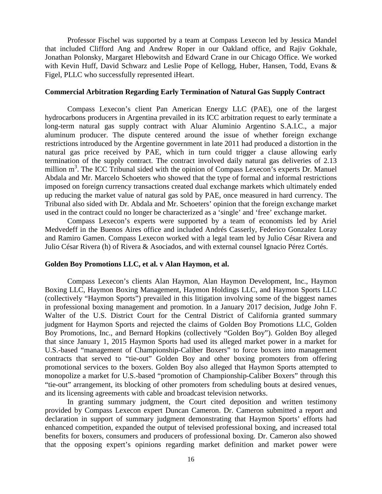Professor Fischel was supported by a team at Compass Lexecon led by Jessica Mandel that included Clifford Ang and Andrew Roper in our Oakland office, and Rajiv Gokhale, Jonathan Polonsky, Margaret Hlebowitsh and Edward Crane in our Chicago Office. We worked with Kevin Huff, David Schwarz and Leslie Pope of Kellogg, Huber, Hansen, Todd, Evans & Figel, PLLC who successfully represented iHeart.

### **Commercial Arbitration Regarding Early Termination of Natural Gas Supply Contract**

Compass Lexecon's client Pan American Energy LLC (PAE), one of the largest hydrocarbons producers in Argentina prevailed in its ICC arbitration request to early terminate a long-term natural gas supply contract with Aluar Aluminio Argentino S.A.I.C., a major aluminum producer. The dispute centered around the issue of whether foreign exchange restrictions introduced by the Argentine government in late 2011 had produced a distortion in the natural gas price received by PAE, which in turn could trigger a clause allowing early termination of the supply contract. The contract involved daily natural gas deliveries of 2.13 million m<sup>3</sup>. The ICC Tribunal sided with the opinion of Compass Lexecon's experts Dr. Manuel Abdala and Mr. Marcelo Schoeters who showed that the type of formal and informal restrictions imposed on foreign currency transactions created dual exchange markets which ultimately ended up reducing the market value of natural gas sold by PAE, once measured in hard currency. The Tribunal also sided with Dr. Abdala and Mr. Schoeters' opinion that the foreign exchange market used in the contract could no longer be characterized as a 'single' and 'free' exchange market.

Compass Lexecon's experts were supported by a team of economists led by Ariel Medvedeff in the Buenos Aires office and included Andrés Casserly, Federico Gonzalez Loray and Ramiro Gamen. Compass Lexecon worked with a legal team led by Julio César Rivera and Julio César Rivera (h) of Rivera & Asociados, and with external counsel Ignacio Pérez Cortés.

# **Golden Boy Promotions LLC, et al. v Alan Haymon, et al.**

Compass Lexecon's clients Alan Haymon, Alan Haymon Development, Inc., Haymon Boxing LLC, Haymon Boxing Management, Haymon Holdings LLC, and Haymon Sports LLC (collectively "Haymon Sports") prevailed in this litigation involving some of the biggest names in professional boxing management and promotion. In a January 2017 decision, Judge John F. Walter of the U.S. District Court for the Central District of California granted summary judgment for Haymon Sports and rejected the claims of Golden Boy Promotions LLC, Golden Boy Promotions, Inc., and Bernard Hopkins (collectively "Golden Boy"). Golden Boy alleged that since January 1, 2015 Haymon Sports had used its alleged market power in a market for U.S.-based "management of Championship-Caliber Boxers" to force boxers into management contracts that served to "tie-out" Golden Boy and other boxing promoters from offering promotional services to the boxers. Golden Boy also alleged that Haymon Sports attempted to monopolize a market for U.S.-based "promotion of Championship-Caliber Boxers" through this "tie-out" arrangement, its blocking of other promoters from scheduling bouts at desired venues, and its licensing agreements with cable and broadcast television networks.

In granting summary judgment, the Court cited deposition and written testimony provided by Compass Lexecon expert Duncan Cameron. Dr. Cameron submitted a report and declaration in support of summary judgment demonstrating that Haymon Sports' efforts had enhanced competition, expanded the output of televised professional boxing, and increased total benefits for boxers, consumers and producers of professional boxing. Dr. Cameron also showed that the opposing expert's opinions regarding market definition and market power were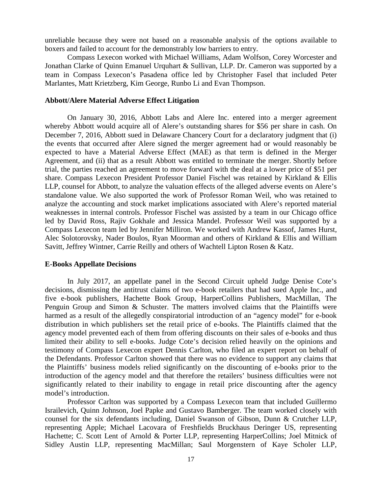unreliable because they were not based on a reasonable analysis of the options available to boxers and failed to account for the demonstrably low barriers to entry.

Compass Lexecon worked with Michael Williams, Adam Wolfson, Corey Worcester and Jonathan Clarke of Quinn Emanuel Urquhart & Sullivan, LLP. Dr. Cameron was supported by a team in Compass Lexecon's Pasadena office led by Christopher Fasel that included Peter Marlantes, Matt Krietzberg, Kim George, Runbo Li and Evan Thompson.

### **Abbott/Alere Material Adverse Effect Litigation**

On January 30, 2016, Abbott Labs and Alere Inc. entered into a merger agreement whereby Abbott would acquire all of Alere's outstanding shares for \$56 per share in cash. On December 7, 2016, Abbott sued in Delaware Chancery Court for a declaratory judgment that (i) the events that occurred after Alere signed the merger agreement had or would reasonably be expected to have a Material Adverse Effect (MAE) as that term is defined in the Merger Agreement, and (ii) that as a result Abbott was entitled to terminate the merger. Shortly before trial, the parties reached an agreement to move forward with the deal at a lower price of \$51 per share. Compass Lexecon President Professor Daniel Fischel was retained by Kirkland & Ellis LLP, counsel for Abbott, to analyze the valuation effects of the alleged adverse events on Alere's standalone value. We also supported the work of Professor Roman Weil, who was retained to analyze the accounting and stock market implications associated with Alere's reported material weaknesses in internal controls. Professor Fischel was assisted by a team in our Chicago office led by David Ross, Rajiv Gokhale and Jessica Mandel. Professor Weil was supported by a Compass Lexecon team led by Jennifer Milliron. We worked with Andrew Kassof, James Hurst, Alec Solotorovsky, Nader Boulos, Ryan Moorman and others of Kirkland & Ellis and William Savitt, Jeffrey Wintner, Carrie Reilly and others of Wachtell Lipton Rosen & Katz.

#### **E**-**Books Appellate Decisions**

In July 2017, an appellate panel in the Second Circuit upheld Judge Denise Cote's decisions, dismissing the antitrust claims of two e-book retailers that had sued Apple Inc., and five e-book publishers, Hachette Book Group, HarperCollins Publishers, MacMillan, The Penguin Group and Simon & Schuster. The matters involved claims that the Plaintiffs were harmed as a result of the allegedly conspiratorial introduction of an "agency model" for e-book distribution in which publishers set the retail price of e-books. The Plaintiffs claimed that the agency model prevented each of them from offering discounts on their sales of e-books and thus limited their ability to sell e-books. Judge Cote's decision relied heavily on the opinions and testimony of Compass Lexecon expert Dennis Carlton, who filed an expert report on behalf of the Defendants. Professor Carlton showed that there was no evidence to support any claims that the Plaintiffs' business models relied significantly on the discounting of e-books prior to the introduction of the agency model and that therefore the retailers' business difficulties were not significantly related to their inability to engage in retail price discounting after the agency model's introduction.

Professor Carlton was supported by a Compass Lexecon team that included Guillermo Israilevich, Quinn Johnson, Joel Papke and Gustavo Bamberger. The team worked closely with counsel for the six defendants including, Daniel Swanson of Gibson, Dunn & Crutcher LLP, representing Apple; Michael Lacovara of Freshfields Bruckhaus Deringer US, representing Hachette; C. Scott Lent of Arnold & Porter LLP, representing HarperCollins; Joel Mitnick of Sidley Austin LLP, representing MacMillan; Saul Morgenstern of Kaye Scholer LLP,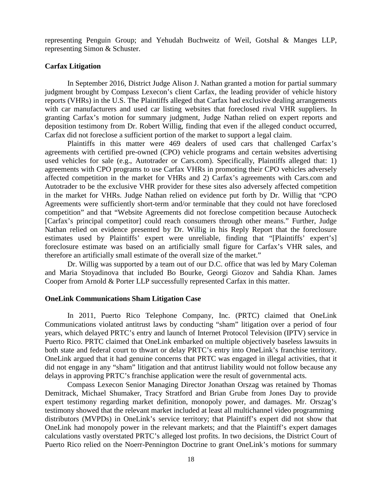representing Penguin Group; and Yehudah Buchweitz of Weil, Gotshal & Manges LLP, representing Simon & Schuster.

### **Carfax Litigation**

In September 2016, District Judge Alison J. Nathan granted a motion for partial summary judgment brought by Compass Lexecon's client Carfax, the leading provider of vehicle history reports (VHRs) in the U.S. The Plaintiffs alleged that Carfax had exclusive dealing arrangements with car manufacturers and used car listing websites that foreclosed rival VHR suppliers. In granting Carfax's motion for summary judgment, Judge Nathan relied on expert reports and deposition testimony from Dr. Robert Willig, finding that even if the alleged conduct occurred, Carfax did not foreclose a sufficient portion of the market to support a legal claim.

Plaintiffs in this matter were 469 dealers of used cars that challenged Carfax's agreements with certified pre-owned (CPO) vehicle programs and certain websites advertising used vehicles for sale (e.g., Autotrader or Cars.com). Specifically, Plaintiffs alleged that: 1) agreements with CPO programs to use Carfax VHRs in promoting their CPO vehicles adversely affected competition in the market for VHRs and 2) Carfax's agreements with Cars.com and Autotrader to be the exclusive VHR provider for these sites also adversely affected competition in the market for VHRs. Judge Nathan relied on evidence put forth by Dr. Willig that "CPO Agreements were sufficiently short-term and/or terminable that they could not have foreclosed competition" and that "Website Agreements did not foreclose competition because Autocheck [Carfax's principal competitor] could reach consumers through other means." Further, Judge Nathan relied on evidence presented by Dr. Willig in his Reply Report that the foreclosure estimates used by Plaintiffs' expert were unreliable, finding that "[Plaintiffs' expert's] foreclosure estimate was based on an artificially small figure for Carfax's VHR sales, and therefore an artificially small estimate of the overall size of the market."

Dr. Willig was supported by a team out of our D.C. office that was led by Mary Coleman and Maria Stoyadinova that included Bo Bourke, Georgi Giozov and Sahdia Khan. James Cooper from Arnold & Porter LLP successfully represented Carfax in this matter.

### **OneLink Communications Sham Litigation Case**

In 2011, Puerto Rico Telephone Company, Inc. (PRTC) claimed that OneLink Communications violated antitrust laws by conducting "sham" litigation over a period of four years, which delayed PRTC's entry and launch of Internet Protocol Television (IPTV) service in Puerto Rico. PRTC claimed that OneLink embarked on multiple objectively baseless lawsuits in both state and federal court to thwart or delay PRTC's entry into OneLink's franchise territory. OneLink argued that it had genuine concerns that PRTC was engaged in illegal activities, that it did not engage in any "sham" litigation and that antitrust liability would not follow because any delays in approving PRTC's franchise application were the result of governmental acts.

Compass Lexecon Senior Managing Director Jonathan Orszag was retained by Thomas Demitrack, Michael Shumaker, Tracy Stratford and Brian Grube from Jones Day to provide expert testimony regarding market definition, monopoly power, and damages. Mr. Orszag's testimony showed that the relevant market included at least all multichannel video programming distributors (MVPDs) in OneLink's service territory; that Plaintiff's expert did not show that OneLink had monopoly power in the relevant markets; and that the Plaintiff's expert damages calculations vastly overstated PRTC's alleged lost profits. In two decisions, the District Court of Puerto Rico relied on the Noerr-Pennington Doctrine to grant OneLink's motions for summary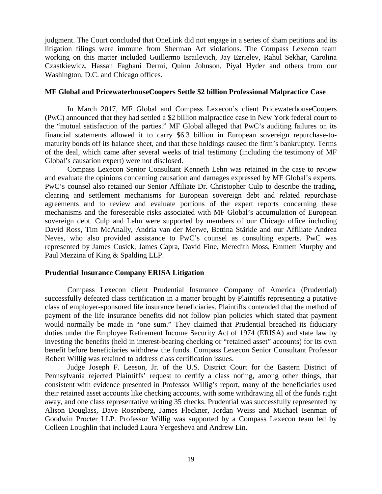judgment. The Court concluded that OneLink did not engage in a series of sham petitions and its litigation filings were immune from Sherman Act violations. The Compass Lexecon team working on this matter included Guillermo Israilevich, Jay Ezrielev, Rahul Sekhar, Carolina Czastkiewicz, Hassan Faghani Dermi, Quinn Johnson, Piyal Hyder and others from our Washington, D.C. and Chicago offices.

### **MF Global and PricewaterhouseCoopers Settle \$2 billion Professional Malpractice Case**

In March 2017, MF Global and Compass Lexecon's client PricewaterhouseCoopers (PwC) announced that they had settled a \$2 billion malpractice case in New York federal court to the "mutual satisfaction of the parties." MF Global alleged that PwC's auditing failures on its financial statements allowed it to carry \$6.3 billion in European sovereign repurchase-tomaturity bonds off its balance sheet, and that these holdings caused the firm's bankruptcy. Terms of the deal, which came after several weeks of trial testimony (including the testimony of MF Global's causation expert) were not disclosed.

Compass Lexecon Senior Consultant Kenneth Lehn was retained in the case to review and evaluate the opinions concerning causation and damages expressed by MF Global's experts. PwC's counsel also retained our Senior Affiliate Dr. Christopher Culp to describe the trading, clearing and settlement mechanisms for European sovereign debt and related repurchase agreements and to review and evaluate portions of the expert reports concerning these mechanisms and the foreseeable risks associated with MF Global's accumulation of European sovereign debt. Culp and Lehn were supported by members of our Chicago office including David Ross, Tim McAnally, Andria van der Merwe, Bettina Stärkle and our Affiliate Andrea Neves, who also provided assistance to PwC's counsel as consulting experts. PwC was represented by James Cusick, James Capra, David Fine, Meredith Moss, Emmett Murphy and Paul Mezzina of King & Spalding LLP.

### **Prudential Insurance Company ERISA Litigation**

Compass Lexecon client Prudential Insurance Company of America (Prudential) successfully defeated class certification in a matter brought by Plaintiffs representing a putative class of employer-sponsored life insurance beneficiaries. Plaintiffs contended that the method of payment of the life insurance benefits did not follow plan policies which stated that payment would normally be made in "one sum." They claimed that Prudential breached its fiduciary duties under the Employee Retirement Income Security Act of 1974 (ERISA) and state law by investing the benefits (held in interest-bearing checking or "retained asset" accounts) for its own benefit before beneficiaries withdrew the funds. Compass Lexecon Senior Consultant Professor Robert Willig was retained to address class certification issues.

Judge Joseph F. Leeson, Jr. of the U.S. District Court for the Eastern District of Pennsylvania rejected Plaintiffs' request to certify a class noting, among other things, that consistent with evidence presented in Professor Willig's report, many of the beneficiaries used their retained asset accounts like checking accounts, with some withdrawing all of the funds right away, and one class representative writing 35 checks. Prudential was successfully represented by Alison Douglass, Dave Rosenberg, James Fleckner, Jordan Weiss and Michael Isenman of Goodwin Procter LLP. Professor Willig was supported by a Compass Lexecon team led by Colleen Loughlin that included Laura Yergesheva and Andrew Lin.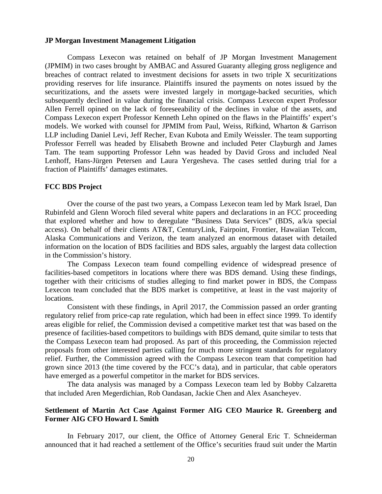#### **JP Morgan Investment Management Litigation**

Compass Lexecon was retained on behalf of JP Morgan Investment Management (JPMIM) in two cases brought by AMBAC and Assured Guaranty alleging gross negligence and breaches of contract related to investment decisions for assets in two triple X securitizations providing reserves for life insurance. Plaintiffs insured the payments on notes issued by the securitizations, and the assets were invested largely in mortgage-backed securities, which subsequently declined in value during the financial crisis. Compass Lexecon expert Professor Allen Ferrell opined on the lack of foreseeability of the declines in value of the assets, and Compass Lexecon expert Professor Kenneth Lehn opined on the flaws in the Plaintiffs' expert's models. We worked with counsel for JPMIM from Paul, Weiss, Rifkind, Wharton & Garrison LLP including Daniel Levi, Jeff Recher, Evan Kubota and Emily Weissler. The team supporting Professor Ferrell was headed by Elisabeth Browne and included Peter Clayburgh and James Tam. The team supporting Professor Lehn was headed by David Gross and included Neal Lenhoff, Hans-Jürgen Petersen and Laura Yergesheva. The cases settled during trial for a fraction of Plaintiffs' damages estimates.

#### **FCC BDS Project**

Over the course of the past two years, a Compass Lexecon team led by Mark Israel, Dan Rubinfeld and Glenn Woroch filed several white papers and declarations in an FCC proceeding that explored whether and how to deregulate "Business Data Services" (BDS, a/k/a special access). On behalf of their clients AT&T, CenturyLink, Fairpoint, Frontier, Hawaiian Telcom, Alaska Communications and Verizon, the team analyzed an enormous dataset with detailed information on the location of BDS facilities and BDS sales, arguably the largest data collection in the Commission's history.

The Compass Lexecon team found compelling evidence of widespread presence of facilities-based competitors in locations where there was BDS demand. Using these findings, together with their criticisms of studies alleging to find market power in BDS, the Compass Lexecon team concluded that the BDS market is competitive, at least in the vast majority of locations.

Consistent with these findings, in April 2017, the Commission passed an order granting regulatory relief from price-cap rate regulation, which had been in effect since 1999. To identify areas eligible for relief, the Commission devised a competitive market test that was based on the presence of facilities-based competitors to buildings with BDS demand, quite similar to tests that the Compass Lexecon team had proposed. As part of this proceeding, the Commission rejected proposals from other interested parties calling for much more stringent standards for regulatory relief. Further, the Commission agreed with the Compass Lexecon team that competition had grown since 2013 (the time covered by the FCC's data), and in particular, that cable operators have emerged as a powerful competitor in the market for BDS services.

The data analysis was managed by a Compass Lexecon team led by Bobby Calzaretta that included Aren Megerdichian, Rob Oandasan, Jackie Chen and Alex Asancheyev.

### **Settlement of Martin Act Case Against Former AIG CEO Maurice R. Greenberg and Former AIG CFO Howard I. Smith**

In February 2017, our client, the Office of Attorney General Eric T. Schneiderman announced that it had reached a settlement of the Office's securities fraud suit under the Martin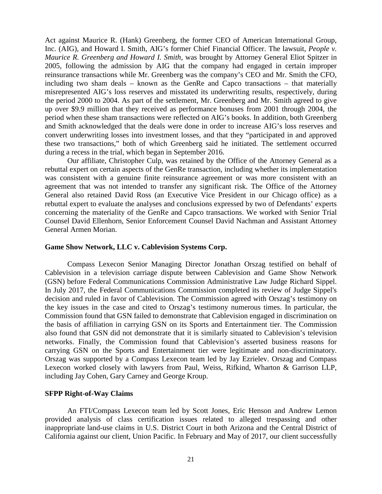Act against Maurice R. (Hank) Greenberg, the former CEO of American International Group, Inc. (AIG), and Howard I. Smith, AIG's former Chief Financial Officer. The lawsuit, *People v. Maurice R. Greenberg and Howard I. Smith*, was brought by Attorney General Eliot Spitzer in 2005, following the admission by AIG that the company had engaged in certain improper reinsurance transactions while Mr. Greenberg was the company's CEO and Mr. Smith the CFO, including two sham deals – known as the GenRe and Capco transactions – that materially misrepresented AIG's loss reserves and misstated its underwriting results, respectively, during the period 2000 to 2004. As part of the settlement, Mr. Greenberg and Mr. Smith agreed to give up over \$9.9 million that they received as performance bonuses from 2001 through 2004, the period when these sham transactions were reflected on AIG's books. In addition, both Greenberg and Smith acknowledged that the deals were done in order to increase AIG's loss reserves and convert underwriting losses into investment losses, and that they "participated in and approved these two transactions," both of which Greenberg said he initiated. The settlement occurred during a recess in the trial, which began in September 2016.

Our affiliate, Christopher Culp, was retained by the Office of the Attorney General as a rebuttal expert on certain aspects of the GenRe transaction, including whether its implementation was consistent with a genuine finite reinsurance agreement or was more consistent with an agreement that was not intended to transfer any significant risk. The Office of the Attorney General also retained David Ross (an Executive Vice President in our Chicago office) as a rebuttal expert to evaluate the analyses and conclusions expressed by two of Defendants' experts concerning the materiality of the GenRe and Capco transactions. We worked with Senior Trial Counsel David Ellenhorn, Senior Enforcement Counsel David Nachman and Assistant Attorney General Armen Morian.

### **Game Show Network, LLC v. Cablevision Systems Corp.**

Compass Lexecon Senior Managing Director Jonathan Orszag testified on behalf of Cablevision in a television carriage dispute between Cablevision and Game Show Network (GSN) before Federal Communications Commission Administrative Law Judge Richard Sippel. In July 2017, the Federal Communications Commission completed its review of Judge Sippel's decision and ruled in favor of Cablevision. The Commission agreed with Orszag's testimony on the key issues in the case and cited to Orszag's testimony numerous times. In particular, the Commission found that GSN failed to demonstrate that Cablevision engaged in discrimination on the basis of affiliation in carrying GSN on its Sports and Entertainment tier. The Commission also found that GSN did not demonstrate that it is similarly situated to Cablevision's television networks. Finally, the Commission found that Cablevision's asserted business reasons for carrying GSN on the Sports and Entertainment tier were legitimate and non-discriminatory. Orszag was supported by a Compass Lexecon team led by Jay Ezrielev. Orszag and Compass Lexecon worked closely with lawyers from Paul, Weiss, Rifkind, Wharton & Garrison LLP, including Jay Cohen, Gary Carney and George Kroup.

#### **SFPP Right-of-Way Claims**

An FTI/Compass Lexecon team led by Scott Jones, Eric Henson and Andrew Lemon provided analysis of class certification issues related to alleged trespassing and other inappropriate land-use claims in U.S. District Court in both Arizona and the Central District of California against our client, Union Pacific. In February and May of 2017, our client successfully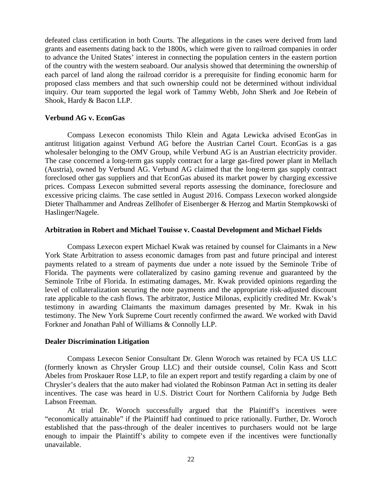defeated class certification in both Courts. The allegations in the cases were derived from land grants and easements dating back to the 1800s, which were given to railroad companies in order to advance the United States' interest in connecting the population centers in the eastern portion of the country with the western seaboard. Our analysis showed that determining the ownership of each parcel of land along the railroad corridor is a prerequisite for finding economic harm for proposed class members and that such ownership could not be determined without individual inquiry. Our team supported the legal work of Tammy Webb, John Sherk and Joe Rebein of Shook, Hardy & Bacon LLP.

### **Verbund AG v. EconGas**

Compass Lexecon economists Thilo Klein and Agata Lewicka advised EconGas in antitrust litigation against Verbund AG before the Austrian Cartel Court. EconGas is a gas wholesaler belonging to the OMV Group, while Verbund AG is an Austrian electricity provider. The case concerned a long-term gas supply contract for a large gas-fired power plant in Mellach (Austria), owned by Verbund AG. Verbund AG claimed that the long-term gas supply contract foreclosed other gas suppliers and that EconGas abused its market power by charging excessive prices. Compass Lexecon submitted several reports assessing the dominance, foreclosure and excessive pricing claims. The case settled in August 2016. Compass Lexecon worked alongside Dieter Thalhammer and Andreas Zellhofer of Eisenberger & Herzog and Martin Stempkowski of Haslinger/Nagele.

### **Arbitration in Robert and Michael Touisse v. Coastal Development and Michael Fields**

Compass Lexecon expert Michael Kwak was retained by counsel for Claimants in a New York State Arbitration to assess economic damages from past and future principal and interest payments related to a stream of payments due under a note issued by the Seminole Tribe of Florida. The payments were collateralized by casino gaming revenue and guaranteed by the Seminole Tribe of Florida. In estimating damages, Mr. Kwak provided opinions regarding the level of collateralization securing the note payments and the appropriate risk-adjusted discount rate applicable to the cash flows. The arbitrator, Justice Milonas, explicitly credited Mr. Kwak's testimony in awarding Claimants the maximum damages presented by Mr. Kwak in his testimony. The New York Supreme Court recently confirmed the award. We worked with David Forkner and Jonathan Pahl of Williams & Connolly LLP.

### **Dealer Discrimination Litigation**

Compass Lexecon Senior Consultant Dr. Glenn Woroch was retained by FCA US LLC (formerly known as Chrysler Group LLC) and their outside counsel, Colin Kass and Scott Abeles from Proskauer Rose LLP, to file an expert report and testify regarding a claim by one of Chrysler's dealers that the auto maker had violated the Robinson Patman Act in setting its dealer incentives. The case was heard in U.S. District Court for Northern California by Judge Beth Labson Freeman.

At trial Dr. Woroch successfully argued that the Plaintiff's incentives were "economically attainable" if the Plaintiff had continued to price rationally. Further, Dr. Woroch established that the pass-through of the dealer incentives to purchasers would not be large enough to impair the Plaintiff's ability to compete even if the incentives were functionally unavailable.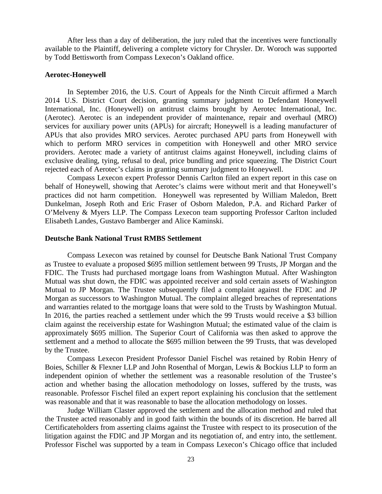After less than a day of deliberation, the jury ruled that the incentives were functionally available to the Plaintiff, delivering a complete victory for Chrysler. Dr. Woroch was supported by Todd Bettisworth from Compass Lexecon's Oakland office.

### **Aerotec-Honeywell**

In September 2016, the U.S. Court of Appeals for the Ninth Circuit affirmed a March 2014 U.S. District Court decision, granting summary judgment to Defendant Honeywell International, Inc. (Honeywell) on antitrust claims brought by Aerotec International, Inc. (Aerotec). Aerotec is an independent provider of maintenance, repair and overhaul (MRO) services for auxiliary power units (APUs) for aircraft; Honeywell is a leading manufacturer of APUs that also provides MRO services. Aerotec purchased APU parts from Honeywell with which to perform MRO services in competition with Honeywell and other MRO service providers. Aerotec made a variety of antitrust claims against Honeywell, including claims of exclusive dealing, tying, refusal to deal, price bundling and price squeezing. The District Court rejected each of Aerotec's claims in granting summary judgment to Honeywell.

Compass Lexecon expert Professor Dennis Carlton filed an expert report in this case on behalf of Honeywell, showing that Aerotec's claims were without merit and that Honeywell's practices did not harm competition. Honeywell was represented by William Maledon, Brett Dunkelman, Joseph Roth and Eric Fraser of Osborn Maledon, P.A. and Richard Parker of O'Melveny & Myers LLP. The Compass Lexecon team supporting Professor Carlton included Elisabeth Landes, Gustavo Bamberger and Alice Kaminski.

# **Deutsche Bank National Trust RMBS Settlement**

Compass Lexecon was retained by counsel for Deutsche Bank National Trust Company as Trustee to evaluate a proposed \$695 million settlement between 99 Trusts, JP Morgan and the FDIC. The Trusts had purchased mortgage loans from Washington Mutual. After Washington Mutual was shut down, the FDIC was appointed receiver and sold certain assets of Washington Mutual to JP Morgan. The Trustee subsequently filed a complaint against the FDIC and JP Morgan as successors to Washington Mutual. The complaint alleged breaches of representations and warranties related to the mortgage loans that were sold to the Trusts by Washington Mutual. In 2016, the parties reached a settlement under which the 99 Trusts would receive a \$3 billion claim against the receivership estate for Washington Mutual; the estimated value of the claim is approximately \$695 million. The Superior Court of California was then asked to approve the settlement and a method to allocate the \$695 million between the 99 Trusts, that was developed by the Trustee.

Compass Lexecon President Professor Daniel Fischel was retained by Robin Henry of Boies, Schiller & Flexner LLP and John Rosenthal of Morgan, Lewis & Bockius LLP to form an independent opinion of whether the settlement was a reasonable resolution of the Trustee's action and whether basing the allocation methodology on losses, suffered by the trusts, was reasonable. Professor Fischel filed an expert report explaining his conclusion that the settlement was reasonable and that it was reasonable to base the allocation methodology on losses.

Judge William Claster approved the settlement and the allocation method and ruled that the Trustee acted reasonably and in good faith within the bounds of its discretion. He barred all Certificateholders from asserting claims against the Trustee with respect to its prosecution of the litigation against the FDIC and JP Morgan and its negotiation of, and entry into, the settlement. Professor Fischel was supported by a team in Compass Lexecon's Chicago office that included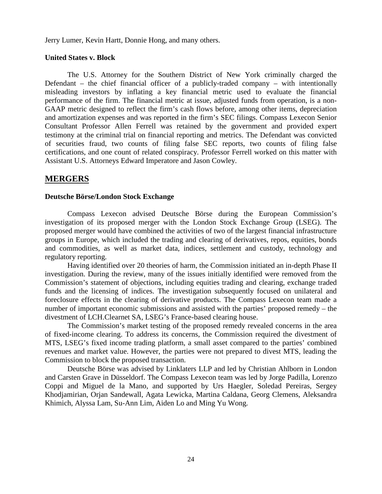Jerry Lumer, Kevin Hartt, Donnie Hong, and many others.

# **United States v. Block**

The U.S. Attorney for the Southern District of New York criminally charged the Defendant – the chief financial officer of a publicly-traded company – with intentionally misleading investors by inflating a key financial metric used to evaluate the financial performance of the firm. The financial metric at issue, adjusted funds from operation, is a non-GAAP metric designed to reflect the firm's cash flows before, among other items, depreciation and amortization expenses and was reported in the firm's SEC filings. Compass Lexecon Senior Consultant Professor Allen Ferrell was retained by the government and provided expert testimony at the criminal trial on financial reporting and metrics. The Defendant was convicted of securities fraud, two counts of filing false SEC reports, two counts of filing false certifications, and one count of related conspiracy. Professor Ferrell worked on this matter with Assistant U.S. Attorneys Edward Imperatore and Jason Cowley.

# **MERGERS**

# **Deutsche Börse/London Stock Exchange**

Compass Lexecon advised Deutsche Börse during the European Commission's investigation of its proposed merger with the London Stock Exchange Group (LSEG). The proposed merger would have combined the activities of two of the largest financial infrastructure groups in Europe, which included the trading and clearing of derivatives, repos, equities, bonds and commodities, as well as market data, indices, settlement and custody, technology and regulatory reporting.

Having identified over 20 theories of harm, the Commission initiated an in-depth Phase II investigation. During the review, many of the issues initially identified were removed from the Commission's statement of objections, including equities trading and clearing, exchange traded funds and the licensing of indices. The investigation subsequently focused on unilateral and foreclosure effects in the clearing of derivative products. The Compass Lexecon team made a number of important economic submissions and assisted with the parties' proposed remedy – the divestment of LCH.Clearnet SA, LSEG's France-based clearing house.

The Commission's market testing of the proposed remedy revealed concerns in the area of fixed-income clearing. To address its concerns, the Commission required the divestment of MTS, LSEG's fixed income trading platform, a small asset compared to the parties' combined revenues and market value. However, the parties were not prepared to divest MTS, leading the Commission to block the proposed transaction.

Deutsche Börse was advised by Linklaters LLP and led by Christian Ahlborn in London and Carsten Grave in Düsseldorf. The Compass Lexecon team was led by Jorge Padilla, Lorenzo Coppi and Miguel de la Mano, and supported by Urs Haegler, Soledad Pereiras, Sergey Khodjamirian, Orjan Sandewall, Agata Lewicka, Martina Caldana, Georg Clemens, Aleksandra Khimich, Alyssa Lam, Su-Ann Lim, Aiden Lo and Ming Yu Wong.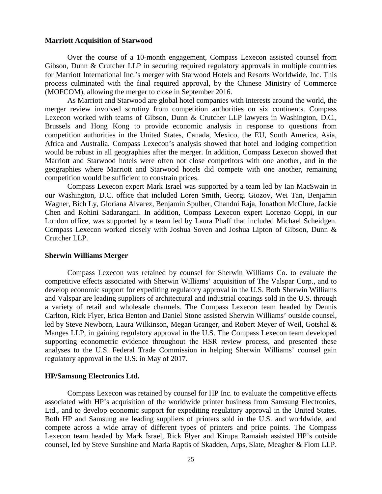#### **Marriott Acquisition of Starwood**

Over the course of a 10-month engagement, Compass Lexecon assisted counsel from Gibson, Dunn & Crutcher LLP in securing required regulatory approvals in multiple countries for Marriott International Inc.'s merger with Starwood Hotels and Resorts Worldwide, Inc. This process culminated with the final required approval, by the Chinese Ministry of Commerce (MOFCOM), allowing the merger to close in September 2016.

As Marriott and Starwood are global hotel companies with interests around the world, the merger review involved scrutiny from competition authorities on six continents. Compass Lexecon worked with teams of Gibson, Dunn & Crutcher LLP lawyers in Washington, D.C., Brussels and Hong Kong to provide economic analysis in response to questions from competition authorities in the United States, Canada, Mexico, the EU, South America, Asia, Africa and Australia. Compass Lexecon's analysis showed that hotel and lodging competition would be robust in all geographies after the merger. In addition, Compass Lexecon showed that Marriott and Starwood hotels were often not close competitors with one another, and in the geographies where Marriott and Starwood hotels did compete with one another, remaining competition would be sufficient to constrain prices.

Compass Lexecon expert Mark Israel was supported by a team led by Ian MacSwain in our Washington, D.C. office that included Loren Smith, Georgi Giozov, Wei Tan, Benjamin Wagner, Bich Ly, Gloriana Alvarez, Benjamin Spulber, Chandni Raja, Jonathon McClure, Jackie Chen and Rohini Sadarangani. In addition, Compass Lexecon expert Lorenzo Coppi, in our London office, was supported by a team led by Laura Phaff that included Michael Scheidgen. Compass Lexecon worked closely with Joshua Soven and Joshua Lipton of Gibson, Dunn & Crutcher LLP.

#### **Sherwin Williams Merger**

Compass Lexecon was retained by counsel for Sherwin Williams Co. to evaluate the competitive effects associated with Sherwin Williams' acquisition of The Valspar Corp., and to develop economic support for expediting regulatory approval in the U.S. Both Sherwin Williams and Valspar are leading suppliers of architectural and industrial coatings sold in the U.S. through a variety of retail and wholesale channels. The Compass Lexecon team headed by Dennis Carlton, Rick Flyer, Erica Benton and Daniel Stone assisted Sherwin Williams' outside counsel, led by Steve Newborn, Laura Wilkinson, Megan Granger, and Robert Meyer of Weil, Gotshal & Manges LLP, in gaining regulatory approval in the U.S. The Compass Lexecon team developed supporting econometric evidence throughout the HSR review process, and presented these analyses to the U.S. Federal Trade Commission in helping Sherwin Williams' counsel gain regulatory approval in the U.S. in May of 2017.

#### **HP/Samsung Electronics Ltd.**

Compass Lexecon was retained by counsel for HP Inc. to evaluate the competitive effects associated with HP's acquisition of the worldwide printer business from Samsung Electronics, Ltd., and to develop economic support for expediting regulatory approval in the United States. Both HP and Samsung are leading suppliers of printers sold in the U.S. and worldwide, and compete across a wide array of different types of printers and price points. The Compass Lexecon team headed by Mark Israel, Rick Flyer and Kirupa Ramaiah assisted HP's outside counsel, led by Steve Sunshine and Maria Raptis of Skadden, Arps, Slate, Meagher & Flom LLP.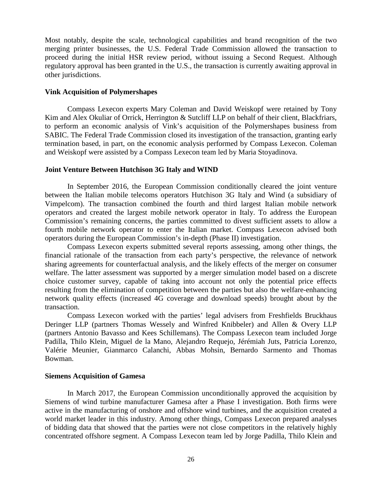Most notably, despite the scale, technological capabilities and brand recognition of the two merging printer businesses, the U.S. Federal Trade Commission allowed the transaction to proceed during the initial HSR review period, without issuing a Second Request. Although regulatory approval has been granted in the U.S., the transaction is currently awaiting approval in other jurisdictions.

### **Vink Acquisition of Polymershapes**

Compass Lexecon experts Mary Coleman and David Weiskopf were retained by Tony Kim and Alex Okuliar of Orrick, Herrington & Sutcliff LLP on behalf of their client, Blackfriars, to perform an economic analysis of Vink's acquisition of the Polymershapes business from SABIC. The Federal Trade Commission closed its investigation of the transaction, granting early termination based, in part, on the economic analysis performed by Compass Lexecon. Coleman and Weiskopf were assisted by a Compass Lexecon team led by Maria Stoyadinova.

### **Joint Venture Between Hutchison 3G Italy and WIND**

In September 2016, the European Commission conditionally cleared the joint venture between the Italian mobile telecoms operators Hutchison 3G Italy and Wind (a subsidiary of Vimpelcom). The transaction combined the fourth and third largest Italian mobile network operators and created the largest mobile network operator in Italy. To address the European Commission's remaining concerns, the parties committed to divest sufficient assets to allow a fourth mobile network operator to enter the Italian market. Compass Lexecon advised both operators during the European Commission's in-depth (Phase II) investigation.

Compass Lexecon experts submitted several reports assessing, among other things, the financial rationale of the transaction from each party's perspective, the relevance of network sharing agreements for counterfactual analysis, and the likely effects of the merger on consumer welfare. The latter assessment was supported by a merger simulation model based on a discrete choice customer survey, capable of taking into account not only the potential price effects resulting from the elimination of competition between the parties but also the welfare-enhancing network quality effects (increased 4G coverage and download speeds) brought about by the transaction.

Compass Lexecon worked with the parties' legal advisers from Freshfields Bruckhaus Deringer LLP (partners Thomas Wessely and Winfred Knibbeler) and Allen & Overy LLP (partners Antonio Bavasso and Kees Schillemans). The Compass Lexecon team included Jorge Padilla, Thilo Klein, Miguel de la Mano, Alejandro Requejo, Jérémiah Juts, Patricia Lorenzo, Valérie Meunier, Gianmarco Calanchi, Abbas Mohsin, Bernardo Sarmento and Thomas Bowman.

### **Siemens Acquisition of Gamesa**

In March 2017, the European Commission unconditionally approved the acquisition by Siemens of wind turbine manufacturer Gamesa after a Phase I investigation. Both firms were active in the manufacturing of onshore and offshore wind turbines, and the acquisition created a world market leader in this industry. Among other things, Compass Lexecon prepared analyses of bidding data that showed that the parties were not close competitors in the relatively highly concentrated offshore segment. A Compass Lexecon team led by Jorge Padilla, Thilo Klein and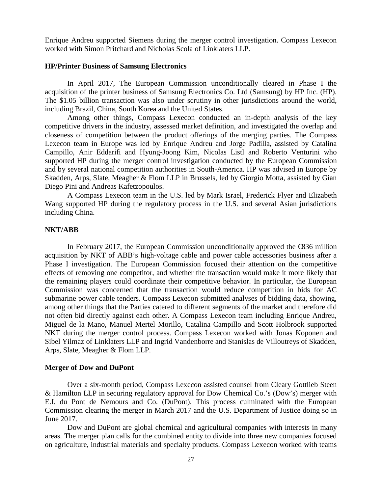Enrique Andreu supported Siemens during the merger control investigation. Compass Lexecon worked with Simon Pritchard and Nicholas Scola of Linklaters LLP.

#### **[HP/Printer Business of Samsung Electronics](http://ec.europa.eu/competition/elojade/isef/index.cfm?fuseaction=dsp_result&case_title=%20PRINTER%20BUSINESS%20OF%20SAMSUNG%20ELECTRONICS)**

In April 2017, The European Commission unconditionally cleared in Phase I the acquisition of the printer business of Samsung Electronics Co. Ltd (Samsung) by HP Inc. (HP). The \$1.05 billion transaction was also under scrutiny in other jurisdictions around the world, including Brazil, China, South Korea and the United States.

Among other things, Compass Lexecon conducted an in-depth analysis of the key competitive drivers in the industry, assessed market definition, and investigated the overlap and closeness of competition between the product offerings of the merging parties. The Compass Lexecon team in Europe was led by Enrique Andreu and Jorge Padilla, assisted by Catalina Campillo, Anir Eddarifi and Hyung-Joong Kim, Nicolas Listl and Roberto Venturini who supported HP during the merger control investigation conducted by the European Commission and by several national competition authorities in South-America. HP was advised in Europe by Skadden, Arps, Slate, Meagher & Flom LLP in Brussels, led by Giorgio Motta, assisted by Gian Diego Pini and Andreas Kafetzopoulos.

A Compass Lexecon team in the U.S. led by Mark Israel, Frederick Flyer and Elizabeth Wang supported HP during the regulatory process in the U.S. and several Asian jurisdictions including China.

### **NKT/ABB**

In February 2017, the European Commission unconditionally approved the  $\text{\textcircled{436}}$  million acquisition by NKT of ABB's high-voltage cable and power cable accessories business after a Phase I investigation. The European Commission focused their attention on the competitive effects of removing one competitor, and whether the transaction would make it more likely that the remaining players could coordinate their competitive behavior. In particular, the European Commission was concerned that the transaction would reduce competition in bids for AC submarine power cable tenders. Compass Lexecon submitted analyses of bidding data, showing, among other things that the Parties catered to different segments of the market and therefore did not often bid directly against each other. A Compass Lexecon team including Enrique Andreu, Miguel de la Mano, Manuel Mertel Morillo, Catalina Campillo and Scott Holbrook supported NKT during the merger control process. Compass Lexecon worked with Jonas Koponen and Sibel Yilmaz of Linklaters LLP and Ingrid Vandenborre and Stanislas de Villoutreys of Skadden, Arps, Slate, Meagher & Flom LLP.

#### **Merger of Dow and DuPont**

Over a six-month period, Compass Lexecon assisted counsel from Cleary Gottlieb Steen & Hamilton LLP in securing regulatory approval for Dow Chemical Co.'s (Dow's) merger with E.I. du Pont de Nemours and Co. (DuPont). This process culminated with the European Commission clearing the merger in March 2017 and the U.S. Department of Justice doing so in June 2017.

Dow and DuPont are global chemical and agricultural companies with interests in many areas. The merger plan calls for the combined entity to divide into three new companies focused on agriculture, industrial materials and specialty products. Compass Lexecon worked with teams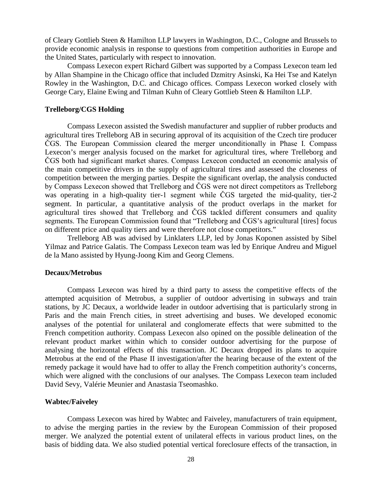of Cleary Gottlieb Steen & Hamilton LLP lawyers in Washington, D.C., Cologne and Brussels to provide economic analysis in response to questions from competition authorities in Europe and the United States, particularly with respect to innovation.

Compass Lexecon expert Richard Gilbert was supported by a Compass Lexecon team led by Allan Shampine in the Chicago office that included Dzmitry Asinski, Ka Hei Tse and Katelyn Rowley in the Washington, D.C. and Chicago offices. Compass Lexecon worked closely with George Cary, Elaine Ewing and Tilman Kuhn of Cleary Gottlieb Steen & Hamilton LLP.

### **Trelleborg/CGS Holding**

Compass Lexecon assisted the Swedish manufacturer and supplier of rubber products and agricultural tires Trelleborg AB in securing approval of its acquisition of the Czech tire producer ČGS. The European Commission cleared the merger unconditionally in Phase I. Compass Lexecon's merger analysis focused on the market for agricultural tires, where Trelleborg and ČGS both had significant market shares. Compass Lexecon conducted an economic analysis of the main competitive drivers in the supply of agricultural tires and assessed the closeness of competition between the merging parties. Despite the significant overlap, the analysis conducted by Compass Lexecon showed that Trelleborg and ČGS were not direct competitors as Trelleborg was operating in a high-quality tier-1 segment while ČGS targeted the mid-quality, tier-2 segment. In particular, a quantitative analysis of the product overlaps in the market for agricultural tires showed that Trelleborg and ČGS tackled different consumers and quality segments. The European Commission found that "Trelleborg and ČGS's agricultural [tires] focus on different price and quality tiers and were therefore not close competitors."

Trelleborg AB was advised by Linklaters LLP, led by Jonas Koponen assisted by Sibel Yilmaz and Patrice Galatis. The Compass Lexecon team was led by Enrique Andreu and Miguel de la Mano assisted by Hyung-Joong Kim and Georg Clemens.

#### **Decaux/Metrobus**

Compass Lexecon was hired by a third party to assess the competitive effects of the attempted acquisition of Metrobus, a supplier of outdoor advertising in subways and train stations, by JC Decaux, a worldwide leader in outdoor advertising that is particularly strong in Paris and the main French cities, in street advertising and buses. We developed economic analyses of the potential for unilateral and conglomerate effects that were submitted to the French competition authority. Compass Lexecon also opined on the possible delineation of the relevant product market within which to consider outdoor advertising for the purpose of analysing the horizontal effects of this transaction. JC Decaux dropped its plans to acquire Metrobus at the end of the Phase II investigation/after the hearing because of the extent of the remedy package it would have had to offer to allay the French competition authority's concerns, which were aligned with the conclusions of our analyses. The Compass Lexecon team included David Sevy, Valérie Meunier and Anastasia Tseomashko.

#### **Wabtec/Faiveley**

Compass Lexecon was hired by Wabtec and Faiveley, manufacturers of train equipment, to advise the merging parties in the review by the European Commission of their proposed merger. We analyzed the potential extent of unilateral effects in various product lines, on the basis of bidding data. We also studied potential vertical foreclosure effects of the transaction, in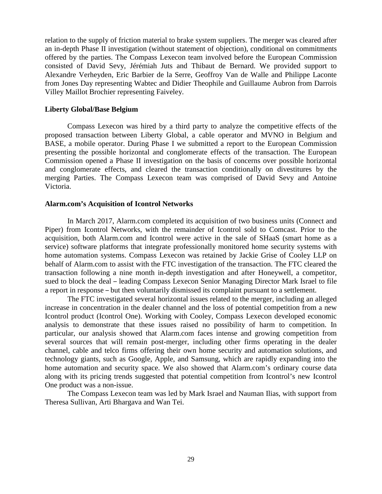relation to the supply of friction material to brake system suppliers. The merger was cleared after an in-depth Phase II investigation (without statement of objection), conditional on commitments offered by the parties. The Compass Lexecon team involved before the European Commission consisted of David Sevy, Jérémiah Juts and Thibaut de Bernard. We provided support to Alexandre Verheyden, Eric Barbier de la Serre, Geoffroy Van de Walle and Philippe Laconte from Jones Day representing Wabtec and Didier Theophile and Guillaume Aubron from Darrois Villey Maillot Brochier representing Faiveley.

#### **Liberty Global/Base Belgium**

Compass Lexecon was hired by a third party to analyze the competitive effects of the proposed transaction between Liberty Global, a cable operator and MVNO in Belgium and BASE, a mobile operator. During Phase I we submitted a report to the European Commission presenting the possible horizontal and conglomerate effects of the transaction. The European Commission opened a Phase II investigation on the basis of concerns over possible horizontal and conglomerate effects, and cleared the transaction conditionally on divestitures by the merging Parties. The Compass Lexecon team was comprised of David Sevy and Antoine Victoria.

### **Alarm.com's Acquisition of Icontrol Networks**

In March 2017, Alarm.com completed its acquisition of two business units (Connect and Piper) from Icontrol Networks, with the remainder of Icontrol sold to Comcast. Prior to the acquisition, both Alarm.com and Icontrol were active in the sale of SHaaS (smart home as a service) software platforms that integrate professionally monitored home security systems with home automation systems. Compass Lexecon was retained by Jackie Grise of Cooley LLP on behalf of Alarm.com to assist with the FTC investigation of the transaction. The FTC cleared the transaction following a nine month in-depth investigation and after Honeywell, a competitor, sued to block the deal – leading Compass Lexecon Senior Managing Director Mark Israel to file a report in response – but then voluntarily dismissed its complaint pursuant to a settlement.

The FTC investigated several horizontal issues related to the merger, including an alleged increase in concentration in the dealer channel and the loss of potential competition from a new Icontrol product (Icontrol One). Working with Cooley, Compass Lexecon developed economic analysis to demonstrate that these issues raised no possibility of harm to competition. In particular, our analysis showed that Alarm.com faces intense and growing competition from several sources that will remain post-merger, including other firms operating in the dealer channel, cable and telco firms offering their own home security and automation solutions, and technology giants, such as Google, Apple, and Samsung, which are rapidly expanding into the home automation and security space. We also showed that Alarm.com's ordinary course data along with its pricing trends suggested that potential competition from Icontrol's new Icontrol One product was a non-issue.

The Compass Lexecon team was led by Mark Israel and Nauman Ilias, with support from Theresa Sullivan, Arti Bhargava and Wan Tei.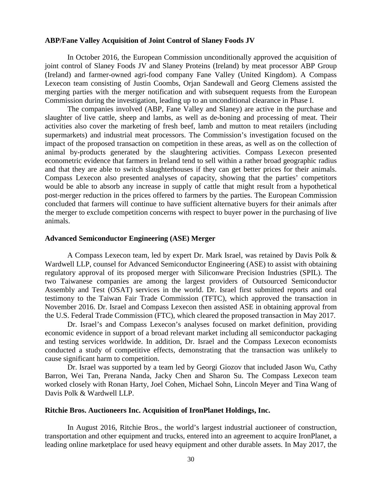#### **ABP/Fane Valley Acquisition of Joint Control of Slaney Foods JV**

In October 2016, the European Commission unconditionally approved the acquisition of joint control of Slaney Foods JV and Slaney Proteins (Ireland) by meat processor ABP Group (Ireland) and farmer-owned agri-food company Fane Valley (United Kingdom). A Compass Lexecon team consisting of Justin Coombs, Orjan Sandewall and Georg Clemens assisted the merging parties with the merger notification and with subsequent requests from the European Commission during the investigation, leading up to an unconditional clearance in Phase I.

The companies involved (ABP, Fane Valley and Slaney) are active in the purchase and slaughter of live cattle, sheep and lambs, as well as de-boning and processing of meat. Their activities also cover the marketing of fresh beef, lamb and mutton to meat retailers (including supermarkets) and industrial meat processors. The Commission's investigation focused on the impact of the proposed transaction on competition in these areas, as well as on the collection of animal by-products generated by the slaughtering activities. Compass Lexecon presented econometric evidence that farmers in Ireland tend to sell within a rather broad geographic radius and that they are able to switch slaughterhouses if they can get better prices for their animals. Compass Lexecon also presented analyses of capacity, showing that the parties' competitors would be able to absorb any increase in supply of cattle that might result from a hypothetical post-merger reduction in the prices offered to farmers by the parties. The European Commission concluded that farmers will continue to have sufficient alternative buyers for their animals after the merger to exclude competition concerns with respect to buyer power in the purchasing of live animals.

#### **Advanced Semiconductor Engineering (ASE) Merger**

A Compass Lexecon team, led by expert Dr. Mark Israel, was retained by Davis Polk & Wardwell LLP, counsel for Advanced Semiconductor Engineering (ASE) to assist with obtaining regulatory approval of its proposed merger with Siliconware Precision Industries (SPIL). The two Taiwanese companies are among the largest providers of Outsourced Semiconductor Assembly and Test (OSAT) services in the world. Dr. Israel first submitted reports and oral testimony to the Taiwan Fair Trade Commission (TFTC), which approved the transaction in November 2016. Dr. Israel and Compass Lexecon then assisted ASE in obtaining approval from the U.S. Federal Trade Commission (FTC), which cleared the proposed transaction in May 2017.

Dr. Israel's and Compass Lexecon's analyses focused on market definition, providing economic evidence in support of a broad relevant market including all semiconductor packaging and testing services worldwide. In addition, Dr. Israel and the Compass Lexecon economists conducted a study of competitive effects, demonstrating that the transaction was unlikely to cause significant harm to competition.

Dr. Israel was supported by a team led by Georgi Giozov that included Jason Wu, Cathy Barron, Wei Tan, Prerana Nanda, Jacky Chen and Sharon Su. The Compass Lexecon team worked closely with Ronan Harty, Joel Cohen, Michael Sohn, Lincoln Meyer and Tina Wang of Davis Polk & Wardwell LLP.

#### **Ritchie Bros. Auctioneers Inc. Acquisition of IronPlanet Holdings, Inc.**

In August 2016, Ritchie Bros., the world's largest industrial auctioneer of construction, transportation and other equipment and trucks, entered into an agreement to acquire IronPlanet, a leading online marketplace for used heavy equipment and other durable assets. In May 2017, the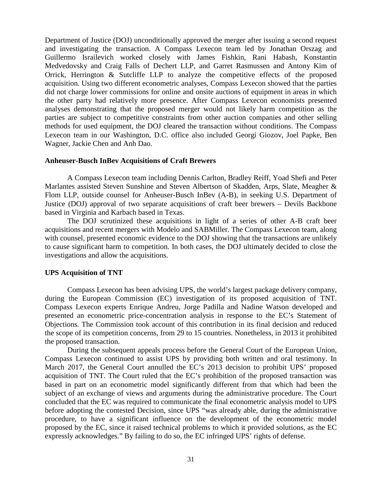Department of Justice (DOJ) unconditionally approved the merger after issuing a second request and investigating the transaction. A Compass Lexecon team led by Jonathan Orszag and Guillermo Israilevich worked closely with James Fishkin, Rani Habash, Konstantin Medvedovsky and Craig Falls of Dechert LLP, and Garret Rasmussen and Antony Kim of Orrick, Herrington & Sutcliffe LLP to analyze the competitive effects of the proposed acquisition. Using two different econometric analyses, Compass Lexecon showed that the parties did not charge lower commissions for online and onsite auctions of equipment in areas in which the other party had relatively more presence. After Compass Lexecon economists presented analyses demonstrating that the proposed merger would not likely harm competition as the parties are subject to competitive constraints from other auction companies and other selling methods for used equipment, the DOJ cleared the transaction without conditions. The Compass Lexecon team in our Washington, D.C. office also included Georgi Giozov, Joel Papke, Ben Wagner, Jackie Chen and Anh Dao.

### **Anheuser-Busch InBev Acquisitions of Craft Brewers**

A Compass Lexecon team including Dennis Carlton, Bradley Reiff, Yoad Shefi and Peter Marlantes assisted Steven Sunshine and Steven Albertson of Skadden, Arps, Slate, Meagher & Flom LLP, outside counsel for Anheuser-Busch InBev (A-B), in seeking U.S. Department of Justice (DOJ) approval of two separate acquisitions of craft beer brewers – Devils Backbone based in Virginia and Karbach based in Texas.

The DOJ scrutinized these acquisitions in light of a series of other A-B craft beer acquisitions and recent mergers with Modelo and SABMiller. The Compass Lexecon team, along with counsel, presented economic evidence to the DOJ showing that the transactions are unlikely to cause significant harm to competition. In both cases, the DOJ ultimately decided to close the investigations and allow the acquisitions.

#### **UPS Acquisition of TNT**

Compass Lexecon has been advising UPS, the world's largest package delivery company, during the European Commission (EC) investigation of its proposed acquisition of TNT. Compass Lexecon experts Enrique Andreu, Jorge Padilla and Nadine Watson developed and presented an econometric price-concentration analysis in response to the EC's Statement of Objections. The Commission took account of this contribution in its final decision and reduced the scope of its competition concerns, from 29 to 15 countries. Nonetheless, in 2013 it prohibited the proposed transaction.

During the subsequent appeals process before the General Court of the European Union, Compass Lexecon continued to assist UPS by providing both written and oral testimony. In March 2017, the General Court annulled the EC's 2013 decision to prohibit UPS' proposed acquisition of TNT. The Court ruled that the EC's prohibition of the proposed transaction was based in part on an econometric model significantly different from that which had been the subject of an exchange of views and arguments during the administrative procedure. The Court concluded that the EC was required to communicate the final econometric analysis model to UPS before adopting the contested Decision, since UPS "was already able, during the administrative procedure, to have a significant influence on the development of the econometric model proposed by the EC, since it raised technical problems to which it provided solutions, as the EC expressly acknowledges." By failing to do so, the EC infringed UPS' rights of defense.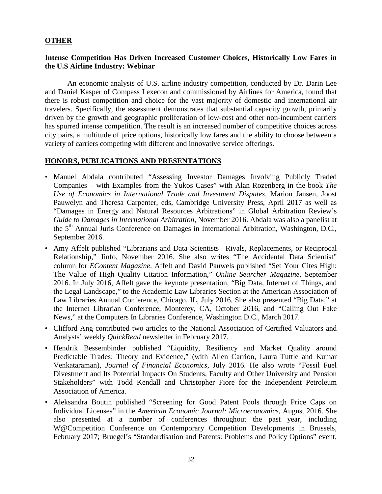# **OTHER**

# **Intense Competition Has Driven Increased Customer Choices, Historically Low Fares in the U.S Airline Industry: Webinar**

An economic analysis of U.S. airline industry competition, conducted by Dr. Darin Lee and Daniel Kasper of Compass Lexecon and commissioned by Airlines for America, found that there is robust competition and choice for the vast majority of domestic and international air travelers. Specifically, the assessment demonstrates that substantial capacity growth, primarily driven by the growth and geographic proliferation of low-cost and other non-incumbent carriers has spurred intense competition. The result is an increased number of competitive choices across city pairs, a multitude of price options, historically low fares and the ability to choose between a variety of carriers competing with different and innovative service offerings.

# **HONORS, PUBLICATIONS AND PRESENTATIONS**

- Manuel Abdala contributed "Assessing Investor Damages Involving Publicly Traded Companies – with Examples from the Yukos Cases" with Alan Rozenberg in the book *The Use of Economics in International Trade and Investment Disputes*, Marion Jansen, Joost Pauwelyn and Theresa Carpenter, eds, Cambridge University Press, April 2017 as well as "Damages in Energy and Natural Resources Arbitrations" in Global Arbitration Review's *Guide to Damages in International Arbitration*, November 2016. Abdala was also a panelist at the 5<sup>th</sup> Annual Juris Conference on Damages in International Arbitration, Washington, D.C., September 2016.
- Amy Affelt published "Librarians and Data Scientists Rivals, Replacements, or Reciprocal Relationship," Jinfo, November 2016. She also writes "The Accidental Data Scientist" column for *EContent Magazine*. Affelt and David Pauwels published "Set Your Cites High: The Value of High Quality Citation Information," *Online Searcher Magazine*, September 2016. In July 2016, Affelt gave the keynote presentation, "Big Data, Internet of Things, and the Legal Landscape," to the Academic Law Libraries Section at the American Association of Law Libraries Annual Conference, Chicago, IL, July 2016. She also presented "Big Data," at the Internet Librarian Conference, Monterey, CA, October 2016, and "Calling Out Fake News," at the Computers In Libraries Conference, Washington D.C., March 2017.
- Clifford Ang contributed two articles to the National Association of Certified Valuators and Analysts' weekly *QuickRead* newsletter in February 2017.
- Hendrik Bessembinder published "Liquidity, Resiliency and Market Quality around Predictable Trades: Theory and Evidence," (with Allen Carrion, Laura Tuttle and Kumar Venkataraman), *Journal of Financial Economics*, July 2016. He also wrote "Fossil Fuel Divestment and Its Potential Impacts On Students, Faculty and Other University and Pension Stakeholders" with Todd Kendall and Christopher Fiore for the Independent Petroleum Association of America.
- Aleksandra Boutin published "Screening for Good Patent Pools through Price Caps on Individual Licenses" in the *American Economic Journal: Microeconomics*, August 2016. She also presented at a number of conferences throughout the past year, including W@Competition Conference on Contemporary Competition Developments in Brussels, February 2017; Bruegel's "Standardisation and Patents: Problems and Policy Options" event,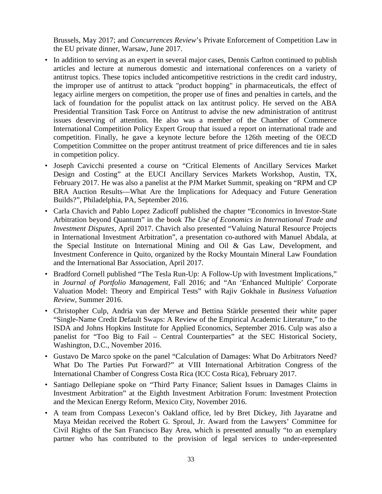Brussels, May 2017; and *Concurrences Review*'s Private Enforcement of Competition Law in the EU private dinner, Warsaw, June 2017.

- In addition to serving as an expert in several major cases, Dennis Carlton continued to publish articles and lecture at numerous domestic and international conferences on a variety of antitrust topics. These topics included anticompetitive restrictions in the credit card industry, the improper use of antitrust to attack "product hopping" in pharmaceuticals, the effect of legacy airline mergers on competition, the proper use of fines and penalties in cartels, and the lack of foundation for the populist attack on lax antitrust policy. He served on the ABA Presidential Transition Task Force on Antitrust to advise the new administration of antitrust issues deserving of attention. He also was a member of the Chamber of Commerce International Competition Policy Expert Group that issued a report on international trade and competition. Finally, he gave a keynote lecture before the 126th meeting of the OECD Competition Committee on the proper antitrust treatment of price differences and tie in sales in competition policy.
- Joseph Cavicchi presented a course on "Critical Elements of Ancillary Services Market Design and Costing" at the EUCI Ancillary Services Markets Workshop, Austin, TX, February 2017. He was also a panelist at the PJM Market Summit, speaking on "RPM and CP BRA Auction Results—What Are the Implications for Adequacy and Future Generation Builds?", Philadelphia, PA, September 2016.
- Carla Chavich and Pablo Lopez Zadicoff published the chapter "Economics in Investor-State Arbitration beyond Quantum" in the book *The Use of Economics in International Trade and Investment Disputes*, April 2017. Chavich also presented "Valuing Natural Resource Projects in International Investment Arbitration", a presentation co-authored with Manuel Abdala, at the Special Institute on International Mining and Oil & Gas Law, Development, and Investment Conference in Quito, organized by the Rocky Mountain Mineral Law Foundation and the International Bar Association, April 2017.
- Bradford Cornell published "The Tesla Run-Up: A Follow-Up with Investment Implications," in *Journal of Portfolio Management*, Fall 2016; and "An 'Enhanced Multiple' Corporate Valuation Model: Theory and Empirical Tests" with Rajiv Gokhale in *Business Valuation Review*, Summer 2016.
- Christopher Culp, Andria van der Merwe and Bettina Stärkle presented their white paper "Single-Name Credit Default Swaps: A Review of the Empirical Academic Literature," to the ISDA and Johns Hopkins Institute for Applied Economics, September 2016. Culp was also a panelist for "Too Big to Fail – Central Counterparties" at the SEC Historical Society, Washington, D.C., November 2016.
- Gustavo De Marco spoke on the panel "Calculation of Damages: What Do Arbitrators Need? What Do The Parties Put Forward?" at VIII International Arbitration Congress of the International Chamber of Congress Costa Rica (ICC Costa Rica), February 2017.
- Santiago Dellepiane spoke on "Third Party Finance; Salient Issues in Damages Claims in Investment Arbitration" at the Eighth Investment Arbitration Forum: Investment Protection and the Mexican Energy Reform, Mexico City, November 2016.
- A team from Compass Lexecon's Oakland office, led by Bret Dickey, Jith Jayaratne and Maya Meidan received the Robert G. Sproul, Jr. Award from the Lawyers' Committee for Civil Rights of the San Francisco Bay Area, which is presented annually "to an exemplary partner who has contributed to the provision of legal services to under-represented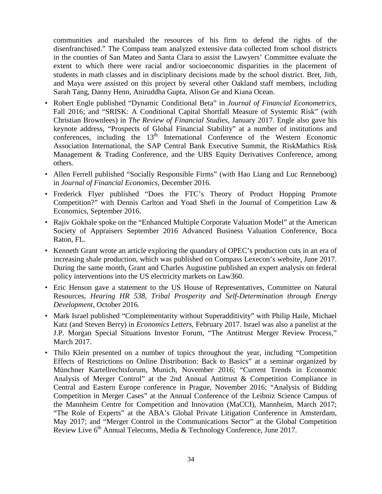communities and marshaled the resources of his firm to defend the rights of the disenfranchised." The Compass team analyzed extensive data collected from school districts in the counties of San Mateo and Santa Clara to assist the Lawyers' Committee evaluate the extent to which there were racial and/or socioeconomic disparities in the placement of students in math classes and in disciplinary decisions made by the school district. Bret, Jith, and Maya were assisted on this project by several other Oakland staff members, including Sarah Tang, Danny Henn, Aniruddha Gupta, Alison Ge and Kiana Ocean.

- Robert Engle published "Dynamic Conditional Beta" in *Journal of Financial Econometrics*, Fall 2016; and "SRISK: A Conditional Capital Shortfall Measure of Systemic Risk" (with Christian Brownlees) in *The Review of Financial Studies*, January 2017. Engle also gave his keynote address, "Prospects of Global Financial Stability" at a number of institutions and conferences, including the  $13<sup>th</sup>$  International Conference of the Western Economic Association International, the SAP Central Bank Executive Summit, the RiskMathics Risk Management & Trading Conference, and the UBS Equity Derivatives Conference, among others.
- Allen Ferrell published "Socially Responsible Firms" (with Hao Liang and Luc Renneboog) in *Journal of Financial Economics*, December 2016.
- Frederick Flyer published "Does the FTC's Theory of Product Hopping Promote Competition?" with Dennis Carlton and Yoad Shefi in the Journal of Competition Law & Economics, September 2016.
- Rajiv Gokhale spoke on the "Enhanced Multiple Corporate Valuation Model" at the American Society of Appraisers September 2016 Advanced Business Valuation Conference, Boca Raton, FL.
- Kenneth Grant wrote an article exploring the quandary of OPEC's production cuts in an era of increasing shale production, which was published on Compass Lexecon's website, June 2017. During the same month, Grant and Charles Augustine published an expert analysis on federal policy interventions into the US electricity markets on Law360.
- Eric Henson gave a statement to the US House of Representatives, Committee on Natural Resources, *Hearing HR 538, Tribal Prosperity and Self-Determination through Energy Development*, October 2016.
- Mark Israel published "Complementarity without Superadditivity" with Philip Haile, Michael Katz (and Steven Berry) in *Economics Letters*, February 2017. Israel was also a panelist at the J.P. Morgan Special Situations Investor Forum, "The Antitrust Merger Review Process," March 2017.
- Thilo Klein presented on a number of topics throughout the year, including "Competition Effects of Restrictions on Online Distribution: Back to Basics" at a seminar organized by Münchner Kartellrechtsforum, Munich, November 2016; "Current Trends in Economic Analysis of Merger Control" at the 2nd Annual Antitrust & Competition Compliance in Central and Eastern Europe conference in Prague, November 2016; "Analysis of Bidding Competition in Merger Cases" at the Annual Conference of the Leibniz Science Campus of the Mannheim Centre for Competition and Innovation (MaCCI), Mannheim, March 2017; "The Role of Experts" at the ABA's Global Private Litigation Conference in Amsterdam, May 2017; and "Merger Control in the Communications Sector" at the Global Competition Review Live  $6<sup>th</sup>$  Annual Telecoms, Media & Technology Conference, June 2017.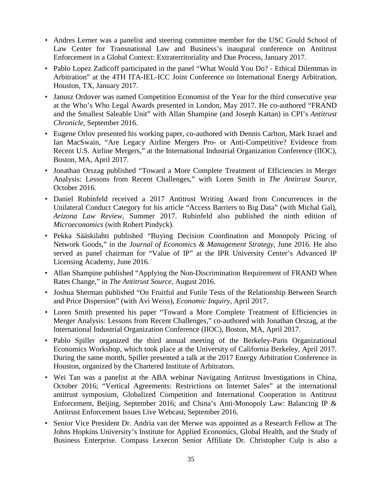- Andres Lerner was a panelist and steering committee member for the USC Gould School of Law Center for Transnational Law and Business's inaugural conference on Antitrust Enforcement in a Global Context: Extraterritoriality and Due Process, January 2017.
- Pablo Lopez Zadicoff participated in the panel "What Would You Do? Ethical Dilemmas in Arbitration" at the 4TH ITA-IEL-ICC Joint Conference on International Energy Arbitration, Houston, TX, January 2017.
- Janusz Ordover was named Competition Economist of the Year for the third consecutive year at the Who's Who Legal Awards presented in London, May 2017. He co-authored "FRAND and the Smallest Saleable Unit" with Allan Shampine (and Joseph Kattan) in CPI's *Antitrust Chronicle*, September 2016.
- Eugene Orlov presented his working paper, co-authored with Dennis Carlton, Mark Israel and Ian MacSwain, "Are Legacy Airline Mergers Pro- or Anti-Competitive? Evidence from Recent U.S. Airline Mergers," at the International Industrial Organization Conference (IIOC), Boston, MA, April 2017.
- Jonathan Orszag published "Toward a More Complete Treatment of Efficiencies in Merger Analysis: Lessons from Recent Challenges," with Loren Smith in *The Antitrust Source*, October 2016.
- Daniel Rubinfeld received a 2017 Antitrust Writing Award from Concurrences in the Unilateral Conduct Category for his article "Access Barriers to Big Data" (with Michal Gal), *Arizona Law Review*, Summer 2017. Rubinfeld also published the ninth edition of *Microeconomics* (with Robert Pindyck).
- Pekka Sääskilahti published "Buying Decision Coordination and Monopoly Pricing of Network Goods," in the *Journal of Economics & Management Strategy*, June 2016. He also served as panel chairman for "Value of IP" at the IPR University Center's Advanced IP Licensing Academy, June 2016.
- Allan Shampine published "Applying the Non-Discrimination Requirement of FRAND When Rates Change," in *The Antitrust Source*, August 2016.
- Joshua Sherman published "On Fruitful and Futile Tests of the Relationship Between Search and Price Dispersion" (with Avi Weiss), *Economic Inquiry*, April 2017.
- Loren Smith presented his paper "Toward a More Complete Treatment of Efficiencies in Merger Analysis: Lessons from Recent Challenges," co-authored with Jonathan Orszag, at the International Industrial Organization Conference (IIOC), Boston, MA, April 2017.
- Pablo Spiller organized the third annual meeting of the Berkeley-Paris Organizational Economics Workshop, which took place at the University of California Berkeley, April 2017. During the same month, Spiller presented a talk at the 2017 Energy Arbitration Conference in Houston, organized by the Chartered Institute of Arbitrators.
- Wei Tan was a panelist at the ABA webinar Navigating Antitrust Investigations in China, October 2016; "Vertical Agreements: Restrictions on Internet Sales" at the international antitrust symposium, Globalized Competition and International Cooperation in Antitrust Enforcement, Beijing, September 2016; and China's Anti-Monopoly Law: Balancing IP & Antitrust Enforcement Issues Live Webcast, September 2016.
- Senior Vice President Dr. Andria van der Merwe was appointed as a Research Fellow at The Johns Hopkins University's Institute for Applied Economics, Global Health, and the Study of Business Enterprise. Compass Lexecon Senior Affiliate Dr. Christopher Culp is also a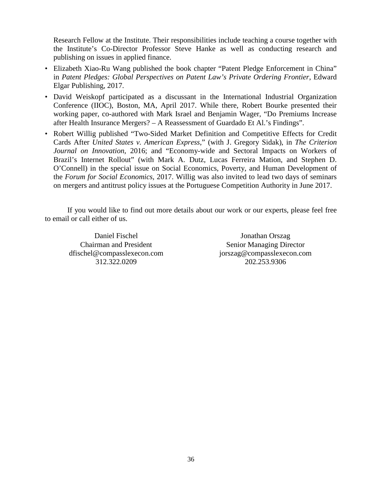Research Fellow at the Institute. Their responsibilities include teaching a course together with the Institute's Co-Director Professor Steve Hanke as well as conducting research and publishing on issues in applied finance.

- Elizabeth Xiao-Ru Wang published the book chapter "Patent Pledge Enforcement in China" in *Patent Pledges: Global Perspectives on Patent Law's Private Ordering Frontier*, Edward Elgar Publishing, 2017.
- David Weiskopf participated as a discussant in the International Industrial Organization Conference (IIOC), Boston, MA, April 2017. While there, Robert Bourke presented their working paper, co-authored with Mark Israel and Benjamin Wager, "Do Premiums Increase after Health Insurance Mergers? – A Reassessment of Guardado Et Al.'s Findings".
- Robert Willig published "Two-Sided Market Definition and Competitive Effects for Credit Cards After *United States v. American Express*," (with J. Gregory Sidak), in *The Criterion Journal on Innovation*, 2016; and "Economy-wide and Sectoral Impacts on Workers of Brazil's Internet Rollout" (with Mark A. Dutz, Lucas Ferreira Mation, and Stephen D. O'Connell) in the special issue on Social Economics, Poverty, and Human Development of the *Forum for Social Economics*, 2017. Willig was also invited to lead two days of seminars on mergers and antitrust policy issues at the Portuguese Competition Authority in June 2017.

If you would like to find out more details about our work or our experts, please feel free to email or call either of us.

Daniel Fischel Chairman and President dfischel@compasslexecon.com 312.322.0209

Jonathan Orszag Senior Managing Director jorszag@compasslexecon.com 202.253.9306